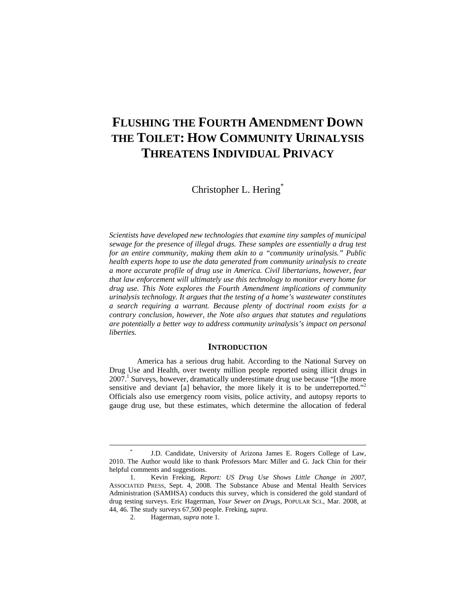# **FLUSHING THE FOURTH AMENDMENT DOWN THE TOILET: HOW COMMUNITY URINALYSIS THREATENS INDIVIDUAL PRIVACY**

Christopher L. Hering\*

*Scientists have developed new technologies that examine tiny samples of municipal sewage for the presence of illegal drugs. These samples are essentially a drug test for an entire community, making them akin to a "community urinalysis." Public health experts hope to use the data generated from community urinalysis to create a more accurate profile of drug use in America. Civil libertarians, however, fear that law enforcement will ultimately use this technology to monitor every home for drug use. This Note explores the Fourth Amendment implications of community urinalysis technology. It argues that the testing of a home's wastewater constitutes a search requiring a warrant. Because plenty of doctrinal room exists for a contrary conclusion, however, the Note also argues that statutes and regulations are potentially a better way to address community urinalysis's impact on personal liberties.* 

# **INTRODUCTION**

America has a serious drug habit. According to the National Survey on Drug Use and Health, over twenty million people reported using illicit drugs in 2007.<sup>1</sup> Surveys, however, dramatically underestimate drug use because "[t]he more sensitive and deviant [a] behavior, the more likely it is to be underreported."<sup>2</sup> Officials also use emergency room visits, police activity, and autopsy reports to gauge drug use, but these estimates, which determine the allocation of federal

 <sup>\*</sup> J.D. Candidate, University of Arizona James E. Rogers College of Law, 2010. The Author would like to thank Professors Marc Miller and G. Jack Chin for their helpful comments and suggestions.

 <sup>1.</sup> Kevin Freking, *Report: US Drug Use Shows Little Change in 2007*, ASSOCIATED PRESS, Sept. 4, 2008. The Substance Abuse and Mental Health Services Administration (SAMHSA) conducts this survey, which is considered the gold standard of drug testing surveys. Eric Hagerman, *Your Sewer on Drugs*, POPULAR SCI., Mar. 2008, at 44, 46. The study surveys 67,500 people. Freking, *supra*.

 <sup>2.</sup> Hagerman, *supra* note 1.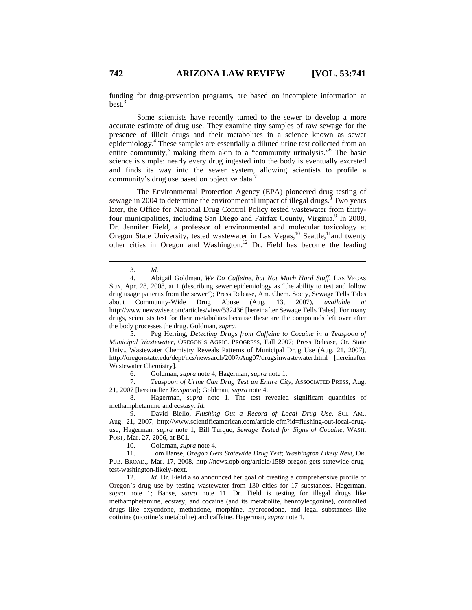funding for drug-prevention programs, are based on incomplete information at best.3

Some scientists have recently turned to the sewer to develop a more accurate estimate of drug use. They examine tiny samples of raw sewage for the presence of illicit drugs and their metabolites in a science known as sewer epidemiology.4 These samples are essentially a diluted urine test collected from an entire community,<sup>5</sup> making them akin to a "community urinalysis."<sup>6</sup> The basic science is simple: nearly every drug ingested into the body is eventually excreted and finds its way into the sewer system, allowing scientists to profile a community's drug use based on objective data.<sup>7</sup>

The Environmental Protection Agency (EPA) pioneered drug testing of sewage in 2004 to determine the environmental impact of illegal drugs.<sup>8</sup> Two years later, the Office for National Drug Control Policy tested wastewater from thirtyfour municipalities, including San Diego and Fairfax County, Virginia.<sup>9</sup> In 2008, Dr. Jennifer Field, a professor of environmental and molecular toxicology at Oregon State University, tested wastewater in Las Vegas,<sup>10</sup> Seattle,<sup>11</sup>and twenty other cities in Oregon and Washington.<sup>12</sup> Dr. Field has become the leading

 5. Peg Herring, *Detecting Drugs from Caffeine to Cocaine in a Teaspoon of Municipal Wastewater*, OREGON'S AGRIC. PROGRESS, Fall 2007; Press Release, Or. State Univ., Wastewater Chemistry Reveals Patterns of Municipal Drug Use (Aug. 21, 2007), http://oregonstate.edu/dept/ncs/newsarch/2007/Aug07/drugsinwastewater.html [hereinafter Wastewater Chemistry].

6. Goldman, *supra* note 4; Hagerman, *supra* note 1.

 7. *Teaspoon of Urine Can Drug Test an Entire City*, ASSOCIATED PRESS, Aug. 21, 2007 [hereinafter *Teaspoon*]; Goldman, *supra* note 4.

 8. Hagerman, *supra* note 1. The test revealed significant quantities of methamphetamine and ecstasy. *Id.*

 9. David Biello, *Flushing Out a Record of Local Drug Use*, SCI. AM., Aug. 21, 2007, http://www.scientificamerican.com/article.cfm?id=flushing-out-local-druguse; Hagerman, *supra* note 1; Bill Turque, *Sewage Tested for Signs of Cocaine*, WASH. POST, Mar. 27, 2006, at B01.

10. Goldman, *supra* note 4.

 11. Tom Banse, *Oregon Gets Statewide Drug Test; Washington Likely Next*, OR. PUB. BROAD., Mar. 17, 2008, http://news.opb.org/article/1589-oregon-gets-statewide-drugtest-washington-likely-next.

 12. *Id.* Dr. Field also announced her goal of creating a comprehensive profile of Oregon's drug use by testing wastewater from 130 cities for 17 substances. Hagerman, *supra* note 1; Banse, *supra* note 11. Dr. Field is testing for illegal drugs like methamphetamine, ecstasy, and cocaine (and its metabolite, benzoylecgonine), controlled drugs like oxycodone, methadone, morphine, hydrocodone, and legal substances like cotinine (nicotine's metabolite) and caffeine. Hagerman, *supra* note 1.

 <sup>3.</sup> *Id.*

 <sup>4.</sup> Abigail Goldman, *We Do Caffeine, but Not Much Hard Stuff*, LAS VEGAS SUN, Apr. 28, 2008, at 1 (describing sewer epidemiology as "the ability to test and follow drug usage patterns from the sewer"); Press Release, Am. Chem. Soc'y, Sewage Tells Tales about Community-Wide Drug Abuse (Aug. 13, 2007), *available at* http://www.newswise.com/articles/view/532436 [hereinafter Sewage Tells Tales]. For many drugs, scientists test for their metabolites because these are the compounds left over after the body processes the drug. Goldman, *supra*.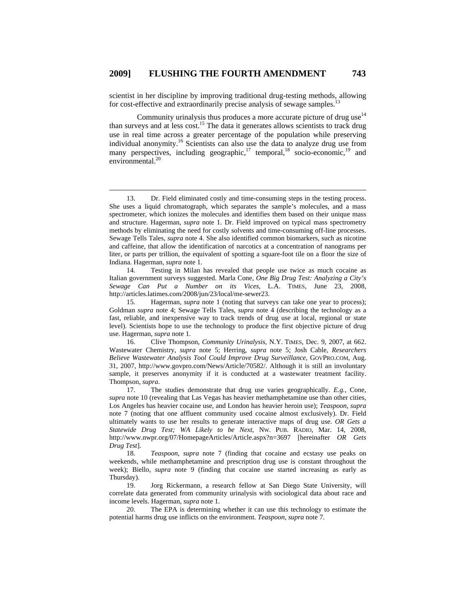scientist in her discipline by improving traditional drug-testing methods, allowing for cost-effective and extraordinarily precise analysis of sewage samples.<sup>13</sup>

Community urinalysis thus produces a more accurate picture of drug use $14$ than surveys and at less cost.15 The data it generates allows scientists to track drug use in real time across a greater percentage of the population while preserving individual anonymity.16 Scientists can also use the data to analyze drug use from many perspectives, including geographic, $17$  temporal, $18$  socio-economic, $19$  and environmental.<sup>20</sup>

 <sup>13.</sup> Dr. Field eliminated costly and time-consuming steps in the testing process. She uses a liquid chromatograph, which separates the sample's molecules, and a mass spectrometer, which ionizes the molecules and identifies them based on their unique mass and structure. Hagerman, *supra* note 1. Dr. Field improved on typical mass spectrometry methods by eliminating the need for costly solvents and time-consuming off-line processes. Sewage Tells Tales, *supra* note 4. She also identified common biomarkers, such as nicotine and caffeine, that allow the identification of narcotics at a concentration of nanograms per liter, or parts per trillion, the equivalent of spotting a square-foot tile on a floor the size of Indiana. Hagerman, *supra* note 1.

 <sup>14.</sup> Testing in Milan has revealed that people use twice as much cocaine as Italian government surveys suggested. Marla Cone, *One Big Drug Test: Analyzing a City's Sewage Can Put a Number on its Vices*, L.A. TIMES, June 23, 2008, http://articles.latimes.com/2008/jun/23/local/me-sewer23.

 <sup>15.</sup> Hagerman, *supra* note 1 (noting that surveys can take one year to process); Goldman *supra* note 4; Sewage Tells Tales, *supra* note 4 (describing the technology as a fast, reliable, and inexpensive way to track trends of drug use at local, regional or state level). Scientists hope to use the technology to produce the first objective picture of drug use. Hagerman, *supra* note 1.

 <sup>16.</sup> Clive Thompson, *Community Urinalysis*, N.Y. TIMES, Dec. 9, 2007, at 662. Wastewater Chemistry, *supra* note 5; Herring, *supra* note 5; Josh Cable, *Researchers Believe Wastewater Analysis Tool Could Improve Drug Surveillance*, GOVPRO.COM, Aug. 31, 2007, http://www.govpro.com/News/Article/70582/. Although it is still an involuntary sample, it preserves anonymity if it is conducted at a wastewater treatment facility. Thompson, *supra*.

 <sup>17.</sup> The studies demonstrate that drug use varies geographically. *E.g.*, Cone, *supra* note 10 (revealing that Las Vegas has heavier methamphetamine use than other cities, Los Angeles has heavier cocaine use, and London has heavier heroin use); *Teaspoon*, *supra*  note 7 (noting that one affluent community used cocaine almost exclusively). Dr. Field ultimately wants to use her results to generate interactive maps of drug use. *OR Gets a Statewide Drug Test; WA Likely to be Next*, NW. PUB. RADIO, Mar. 14, 2008, http://www.nwpr.org/07/HomepageArticles/Article.aspx?n=3697 [hereinafter *OR Gets Drug Test*].

 <sup>18.</sup> *Teaspoon*, *supra* note 7 (finding that cocaine and ecstasy use peaks on weekends, while methamphetamine and prescription drug use is constant throughout the week); Biello, *supra* note 9 (finding that cocaine use started increasing as early as Thursday).

 <sup>19.</sup> Jorg Rickermann, a research fellow at San Diego State University, will correlate data generated from community urinalysis with sociological data about race and income levels. Hagerman, *supra* note 1.

 <sup>20.</sup> The EPA is determining whether it can use this technology to estimate the potential harms drug use inflicts on the environment. *Teaspoon*, *supra* note 7.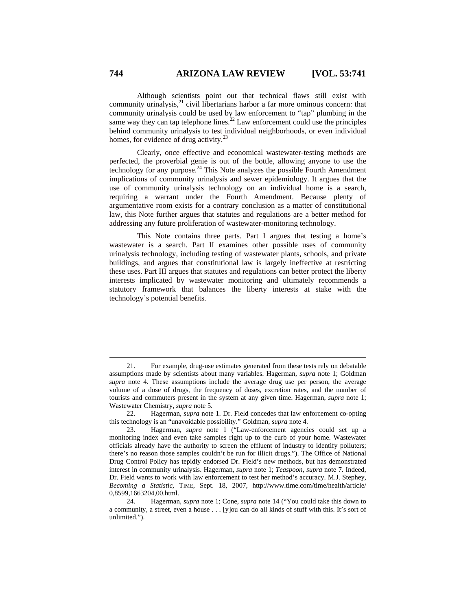Although scientists point out that technical flaws still exist with community urinalysis, $^{21}$  civil libertarians harbor a far more ominous concern: that community urinalysis could be used by law enforcement to "tap" plumbing in the same way they can tap telephone lines.<sup>22</sup> Law enforcement could use the principles behind community urinalysis to test individual neighborhoods, or even individual homes, for evidence of drug activity.<sup>23</sup>

Clearly, once effective and economical wastewater-testing methods are perfected, the proverbial genie is out of the bottle, allowing anyone to use the technology for any purpose.24 This Note analyzes the possible Fourth Amendment implications of community urinalysis and sewer epidemiology. It argues that the use of community urinalysis technology on an individual home is a search, requiring a warrant under the Fourth Amendment. Because plenty of argumentative room exists for a contrary conclusion as a matter of constitutional law, this Note further argues that statutes and regulations are a better method for addressing any future proliferation of wastewater-monitoring technology.

This Note contains three parts. Part I argues that testing a home's wastewater is a search. Part II examines other possible uses of community urinalysis technology, including testing of wastewater plants, schools, and private buildings, and argues that constitutional law is largely ineffective at restricting these uses. Part III argues that statutes and regulations can better protect the liberty interests implicated by wastewater monitoring and ultimately recommends a statutory framework that balances the liberty interests at stake with the technology's potential benefits.

 <sup>21.</sup> For example, drug-use estimates generated from these tests rely on debatable assumptions made by scientists about many variables. Hagerman, *supra* note 1; Goldman *supra* note 4. These assumptions include the average drug use per person, the average volume of a dose of drugs, the frequency of doses, excretion rates, and the number of tourists and commuters present in the system at any given time. Hagerman, *supra* note 1; Wastewater Chemistry, *supra* note 5.

 <sup>22.</sup> Hagerman, *supra* note 1. Dr. Field concedes that law enforcement co-opting this technology is an "unavoidable possibility." Goldman, *supra* note 4.

 <sup>23.</sup> Hagerman, *supra* note 1 ("Law-enforcement agencies could set up a monitoring index and even take samples right up to the curb of your home. Wastewater officials already have the authority to screen the effluent of industry to identify polluters; there's no reason those samples couldn't be run for illicit drugs."). The Office of National Drug Control Policy has tepidly endorsed Dr. Field's new methods, but has demonstrated interest in community urinalysis. Hagerman, *supra* note 1; *Teaspoon*, *supra* note 7. Indeed, Dr. Field wants to work with law enforcement to test her method's accuracy. M.J. Stephey, *Becoming a Statistic*, TIME, Sept. 18, 2007, http://www.time.com/time/health/article/ 0,8599,1663204,00.html.

 <sup>24.</sup> Hagerman, *supra* note 1; Cone, *supra* note 14 ("You could take this down to a community, a street, even a house . . . [y]ou can do all kinds of stuff with this. It's sort of unlimited.").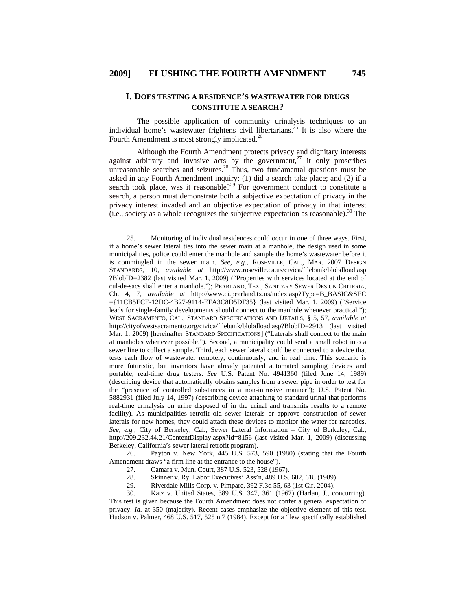# **I. DOES TESTING A RESIDENCE'S WASTEWATER FOR DRUGS CONSTITUTE A SEARCH?**

The possible application of community urinalysis techniques to an individual home's wastewater frightens civil libertarians.<sup>25</sup> It is also where the Fourth Amendment is most strongly implicated.<sup>26</sup>

Although the Fourth Amendment protects privacy and dignitary interests against arbitrary and invasive acts by the government, $^{27}$  it only proscribes unreasonable searches and seizures.<sup>28</sup> Thus, two fundamental questions must be asked in any Fourth Amendment inquiry: (1) did a search take place; and (2) if a search took place, was it reasonable?<sup>29</sup> For government conduct to constitute a search, a person must demonstrate both a subjective expectation of privacy in the privacy interest invaded and an objective expectation of privacy in that interest (i.e., society as a whole recognizes the subjective expectation as reasonable).<sup>30</sup> The

 26. Payton v. New York, 445 U.S. 573, 590 (1980) (stating that the Fourth Amendment draws "a firm line at the entrance to the house").

- 27. Camara v. Mun. Court, 387 U.S. 523, 528 (1967).
- 28. Skinner v. Ry. Labor Executives' Ass'n, 489 U.S. 602, 618 (1989).
- 29. Riverdale Mills Corp. v. Pimpare, 392 F.3d 55, 63 (1st Cir. 2004).

 30. Katz v. United States, 389 U.S. 347, 361 (1967) (Harlan, J., concurring). This test is given because the Fourth Amendment does not confer a general expectation of privacy. *Id.* at 350 (majority). Recent cases emphasize the objective element of this test. Hudson v. Palmer, 468 U.S. 517, 525 n.7 (1984). Except for a "few specifically established

 <sup>25.</sup> Monitoring of individual residences could occur in one of three ways. First, if a home's sewer lateral ties into the sewer main at a manhole, the design used in some municipalities, police could enter the manhole and sample the home's wastewater before it is commingled in the sewer main. *See, e.g.*, ROSEVILLE, CAL., MAR. 2007 DESIGN STANDARDS, 10, *available at* http://www.roseville.ca.us/civica/filebank/blobdload.asp ?BlobID=2382 (last visited Mar. 1, 2009) ("Properties with services located at the end of cul-de-sacs shall enter a manhole."); PEARLAND, TEX., SANITARY SEWER DESIGN CRITERIA, Ch. 4, 7, *available at* http://www.ci.pearland.tx.us/index.asp?Type=B\_BASIC&SEC ={11CB5ECE-12DC-4B27-9114-EFA3C8D5DF35} (last visited Mar. 1, 2009) ("Service leads for single-family developments should connect to the manhole whenever practical."); WEST SACRAMENTO, CAL., STANDARD SPECIFICATIONS AND DETAILS, § 5, 57, *available at* http://cityofwestsacramento.org/civica/filebank/blobdload.asp?BlobID=2913 (last visited Mar. 1, 2009) [hereinafter STANDARD SPECIFICATIONS] ("Laterals shall connect to the main at manholes whenever possible."). Second, a municipality could send a small robot into a sewer line to collect a sample. Third, each sewer lateral could be connected to a device that tests each flow of wastewater remotely, continuously, and in real time. This scenario is more futuristic, but inventors have already patented automated sampling devices and portable, real-time drug testers. *See* U.S. Patent No. 4941360 (filed June 14, 1989) (describing device that automatically obtains samples from a sewer pipe in order to test for the "presence of controlled substances in a non-intrusive manner"); U.S. Patent No. 5882931 (filed July 14, 1997) (describing device attaching to standard urinal that performs real-time urinalysis on urine disposed of in the urinal and transmits results to a remote facility). As municipalities retrofit old sewer laterals or approve construction of sewer laterals for new homes, they could attach these devices to monitor the water for narcotics. *See, e.g.*, City of Berkeley, Cal., Sewer Lateral Information – City of Berkeley, Cal., http://209.232.44.21/ContentDisplay.aspx?id=8156 (last visited Mar. 1, 2009) (discussing Berkeley, California's sewer lateral retrofit program).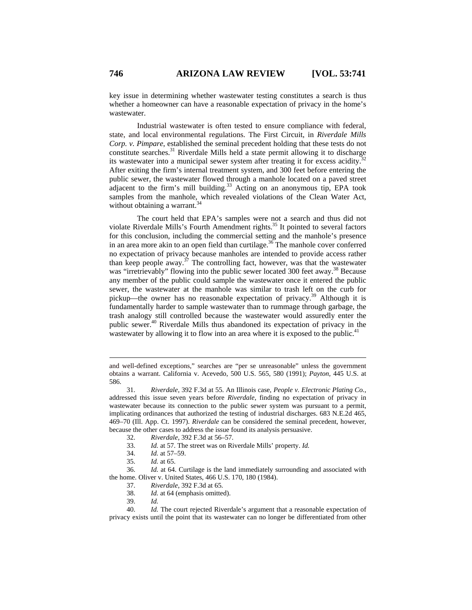key issue in determining whether wastewater testing constitutes a search is thus whether a homeowner can have a reasonable expectation of privacy in the home's wastewater.

Industrial wastewater is often tested to ensure compliance with federal, state, and local environmental regulations. The First Circuit, in *Riverdale Mills Corp. v. Pimpare*, established the seminal precedent holding that these tests do not constitute searches.<sup>31</sup> Riverdale Mills held a state permit allowing it to discharge its wastewater into a municipal sewer system after treating it for excess acidity.<sup>32</sup> After exiting the firm's internal treatment system, and 300 feet before entering the public sewer, the wastewater flowed through a manhole located on a paved street adjacent to the firm's mill building.<sup>33</sup> Acting on an anonymous tip, EPA took samples from the manhole, which revealed violations of the Clean Water Act, without obtaining a warrant. $34$ 

The court held that EPA's samples were not a search and thus did not violate Riverdale Mills's Fourth Amendment rights.<sup>35</sup> It pointed to several factors for this conclusion, including the commercial setting and the manhole's presence in an area more akin to an open field than curtilage.<sup>36</sup> The manhole cover conferred no expectation of privacy because manholes are intended to provide access rather than keep people away.<sup>37</sup> The controlling fact, however, was that the wastewater was "irretrievably" flowing into the public sewer located 300 feet away.<sup>38</sup> Because any member of the public could sample the wastewater once it entered the public sewer, the wastewater at the manhole was similar to trash left on the curb for pickup—the owner has no reasonable expectation of privacy.39 Although it is fundamentally harder to sample wastewater than to rummage through garbage, the trash analogy still controlled because the wastewater would assuredly enter the public sewer.40 Riverdale Mills thus abandoned its expectation of privacy in the wastewater by allowing it to flow into an area where it is exposed to the public.<sup>41</sup>

 $\overline{a}$ 

and well-defined exceptions," searches are "per se unreasonable" unless the government obtains a warrant. California v. Acevedo, 500 U.S. 565, 580 (1991); *Payton*, 445 U.S. at 586.

 <sup>31.</sup> *Riverdale*, 392 F.3d at 55. An Illinois case, *People v. Electronic Plating Co.*, addressed this issue seven years before *Riverdale*, finding no expectation of privacy in wastewater because its connection to the public sewer system was pursuant to a permit, implicating ordinances that authorized the testing of industrial discharges. 683 N.E.2d 465, 469–70 (Ill. App. Ct. 1997). *Riverdale* can be considered the seminal precedent, however, because the other cases to address the issue found its analysis persuasive.

 <sup>32.</sup> *Riverdale*, 392 F.3d at 56–57.

 <sup>33.</sup> *Id.* at 57. The street was on Riverdale Mills' property. *Id.*

 <sup>34.</sup> *Id.* at 57–59.

 <sup>35.</sup> *Id.* at 65.

 <sup>36.</sup> *Id.* at 64. Curtilage is the land immediately surrounding and associated with the home. Oliver v. United States, 466 U.S. 170, 180 (1984).

 <sup>37.</sup> *Riverdale*, 392 F.3d at 65.

 <sup>38.</sup> *Id.* at 64 (emphasis omitted).

 <sup>39.</sup> *Id.*

 <sup>40.</sup> *Id.* The court rejected Riverdale's argument that a reasonable expectation of privacy exists until the point that its wastewater can no longer be differentiated from other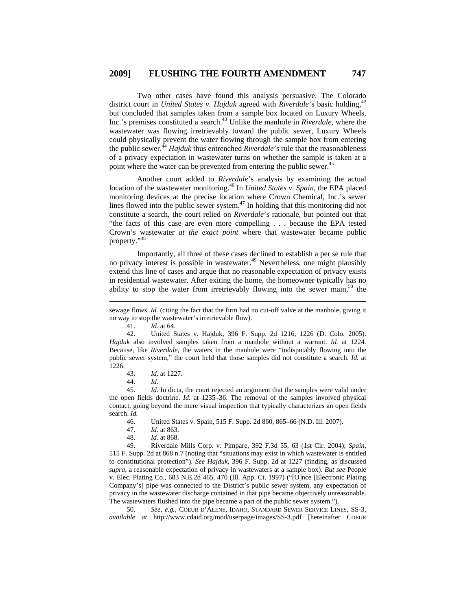Two other cases have found this analysis persuasive. The Colorado district court in *United States v. Hajduk* agreed with *Riverdale*'s basic holding,<sup>42</sup> but concluded that samples taken from a sample box located on Luxury Wheels, Inc.'s premises constituted a search.43 Unlike the manhole in *Riverdale*, where the wastewater was flowing irretrievably toward the public sewer, Luxury Wheels could physically prevent the water flowing through the sample box from entering the public sewer.<sup>44</sup> *Hajduk* thus entrenched *Riverdale*'s rule that the reasonableness of a privacy expectation in wastewater turns on whether the sample is taken at a point where the water can be prevented from entering the public sewer.<sup>45</sup>

Another court added to *Riverdale*'s analysis by examining the actual location of the wastewater monitoring.46 In *United States v. Spain*, the EPA placed monitoring devices at the precise location where Crown Chemical, Inc.'s sewer lines flowed into the public sewer system. $47$  In holding that this monitoring did not constitute a search, the court relied on *Riverdale*'s rationale, but pointed out that "the facts of this case are even more compelling . . . because the EPA tested Crown's wastewater *at the exact point* where that wastewater became public property."<sup>48</sup>

Importantly, all three of these cases declined to establish a per se rule that no privacy interest is possible in wastewater.<sup>49</sup> Nevertheless, one might plausibly extend this line of cases and argue that no reasonable expectation of privacy exists in residential wastewater. After exiting the home, the homeowner typically has no ability to stop the water from irretrievably flowing into the sewer main,<sup>50</sup> the

41. *Id.* at 64.

 $\overline{a}$ 

 45. *Id.* In dicta, the court rejected an argument that the samples were valid under the open fields doctrine. *Id.* at 1235–36. The removal of the samples involved physical contact, going beyond the mere visual inspection that typically characterizes an open fields search. *Id.*

46. United States v. Spain, 515 F. Supp. 2d 860, 865–66 (N.D. Ill. 2007).

- 47. *Id.* at 863.
- 48. *Id.* at 868.

 49. Riverdale Mills Corp. v. Pimpare, 392 F.3d 55, 63 (1st Cir. 2004); *Spain*, 515 F. Supp. 2d at 868 n.7 (noting that "situations may exist in which wastewater is entitled to constitutional protection"). *See Hajduk*, 396 F. Supp. 2d at 1227 (finding, as discussed *supra*, a reasonable expectation of privacy in wastewaters at a sample box). *But see* People v. Elec. Plating Co., 683 N.E.2d 465, 470 (Ill. App. Ct. 1997) ("[O]nce [Electronic Plating Company's] pipe was connected to the District's public sewer system, any expectation of privacy in the wastewater discharge contained in that pipe became objectively unreasonable. The wastewaters flushed into the pipe became a part of the public sewer system.").

 50. *See, e.g.*, COEUR D'ALENE, IDAHO, STANDARD SEWER SERVICE LINES, SS-3, *available at* http://www.cdaid.org/mod/userpage/images/SS-3.pdf [hereinafter COEUR

sewage flows. *Id.* (citing the fact that the firm had no cut-off valve at the manhole, giving it no way to stop the wastewater's irretrievable flow).

 <sup>42.</sup> United States v. Hajduk, 396 F. Supp. 2d 1216, 1226 (D. Colo. 2005). *Hajduk* also involved samples taken from a manhole without a warrant. *Id.* at 1224. Because, like *Riverdale*, the waters in the manhole were "indisputably flowing into the public sewer system," the court held that those samples did not constitute a search. *Id.* at 1226.

 <sup>43.</sup> *Id.* at 1227.

 <sup>44.</sup> *Id.*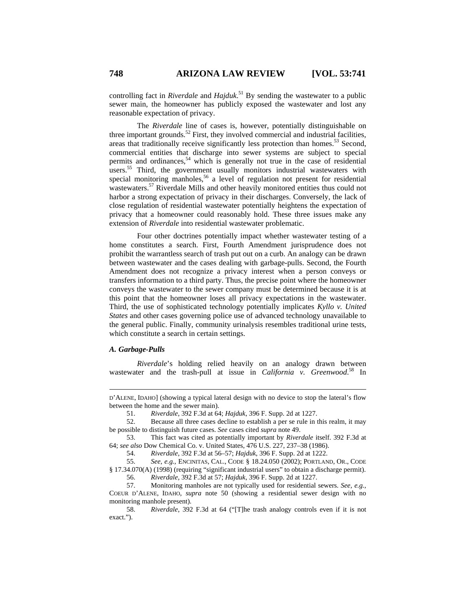controlling fact in *Riverdale* and *Hajduk*. 51 By sending the wastewater to a public sewer main, the homeowner has publicly exposed the wastewater and lost any reasonable expectation of privacy.

The *Riverdale* line of cases is, however, potentially distinguishable on three important grounds.<sup>52</sup> First, they involved commercial and industrial facilities, areas that traditionally receive significantly less protection than homes.53 Second, commercial entities that discharge into sewer systems are subject to special permits and ordinances,<sup>54</sup> which is generally not true in the case of residential users.<sup>55</sup> Third, the government usually monitors industrial wastewaters with special monitoring manholes,<sup>56</sup> a level of regulation not present for residential wastewaters.<sup>57</sup> Riverdale Mills and other heavily monitored entities thus could not harbor a strong expectation of privacy in their discharges. Conversely, the lack of close regulation of residential wastewater potentially heightens the expectation of privacy that a homeowner could reasonably hold. These three issues make any extension of *Riverdale* into residential wastewater problematic.

Four other doctrines potentially impact whether wastewater testing of a home constitutes a search. First, Fourth Amendment jurisprudence does not prohibit the warrantless search of trash put out on a curb. An analogy can be drawn between wastewater and the cases dealing with garbage-pulls. Second, the Fourth Amendment does not recognize a privacy interest when a person conveys or transfers information to a third party. Thus, the precise point where the homeowner conveys the wastewater to the sewer company must be determined because it is at this point that the homeowner loses all privacy expectations in the wastewater. Third, the use of sophisticated technology potentially implicates *Kyllo v. United States* and other cases governing police use of advanced technology unavailable to the general public. Finally, community urinalysis resembles traditional urine tests, which constitute a search in certain settings.

#### *A. Garbage-Pulls*

 $\overline{a}$ 

*Riverdale*'s holding relied heavily on an analogy drawn between wastewater and the trash-pull at issue in *California v. Greenwood*.<sup>58</sup> In

D'ALENE, IDAHO] (showing a typical lateral design with no device to stop the lateral's flow between the home and the sewer main).

 <sup>51.</sup> *Riverdale*, 392 F.3d at 64; *Hajduk*, 396 F. Supp. 2d at 1227.

 <sup>52.</sup> Because all three cases decline to establish a per se rule in this realm, it may be possible to distinguish future cases. *See* cases cited *supra* note 49.

 <sup>53.</sup> This fact was cited as potentially important by *Riverdale* itself. 392 F.3d at 64; *see also* Dow Chemical Co. v. United States, 476 U.S. 227, 237–38 (1986).

 <sup>54.</sup> *Riverdale*, 392 F.3d at 56–57; *Hajduk*, 396 F. Supp. 2d at 1222.

 <sup>55.</sup> *See, e.g.*, ENCINITAS, CAL., CODE § 18.24.050 (2002); PORTLAND, OR., CODE § 17.34.070(A) (1998) (requiring "significant industrial users" to obtain a discharge permit). 56. *Riverdale*, 392 F.3d at 57; *Hajduk*, 396 F. Supp. 2d at 1227.

 <sup>57.</sup> Monitoring manholes are not typically used for residential sewers. *See, e.g.*, COEUR D'ALENE, IDAHO, *supra* note 50 (showing a residential sewer design with no monitoring manhole present).

 <sup>58.</sup> *Riverdale*, 392 F.3d at 64 ("[T]he trash analogy controls even if it is not exact.").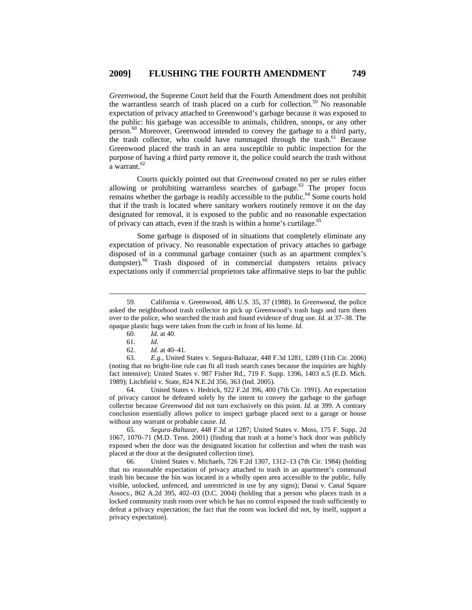*Greenwood*, the Supreme Court held that the Fourth Amendment does not prohibit the warrantless search of trash placed on a curb for collection.<sup>59</sup> No reasonable expectation of privacy attached to Greenwood's garbage because it was exposed to the public: his garbage was accessible to animals, children, snoops, or any other person.<sup>60</sup> Moreover, Greenwood intended to convey the garbage to a third party, the trash collector, who could have rummaged through the trash.<sup>61</sup> Because Greenwood placed the trash in an area susceptible to public inspection for the purpose of having a third party remove it, the police could search the trash without  $a$  warrant.<sup>62</sup>

Courts quickly pointed out that *Greenwood* created no per se rules either allowing or prohibiting warrantless searches of garbage.<sup>63</sup> The proper focus remains whether the garbage is readily accessible to the public.<sup>64</sup> Some courts hold that if the trash is located where sanitary workers routinely remove it on the day designated for removal, it is exposed to the public and no reasonable expectation of privacy can attach, even if the trash is within a home's curtilage.<sup>65</sup>

Some garbage is disposed of in situations that completely eliminate any expectation of privacy. No reasonable expectation of privacy attaches to garbage disposed of in a communal garbage container (such as an apartment complex's dumpster).<sup>66</sup> Trash disposed of in commercial dumpsters retains privacy expectations only if commercial proprietors take affirmative steps to bar the public

 64. United States v. Hedrick, 922 F.2d 396, 400 (7th Cir. 1991). An expectation of privacy cannot be defeated solely by the intent to convey the garbage to the garbage collector because *Greenwood* did not turn exclusively on this point. *Id.* at 399. A contrary conclusion essentially allows police to inspect garbage placed next to a garage or house without any warrant or probable cause. *Id.*

 65. *Segura-Baltazar*, 448 F.3d at 1287; United States v. Moss, 175 F. Supp. 2d 1067, 1070–71 (M.D. Tenn. 2001) (finding that trash at a home's back door was publicly exposed when the door was the designated location for collection and when the trash was placed at the door at the designated collection time).

 66. United States v. Michaels, 726 F.2d 1307, 1312–13 (7th Cir. 1984) (holding that no reasonable expectation of privacy attached to trash in an apartment's communal trash bin because the bin was located in a wholly open area accessible to the public, fully visible, unlocked, unfenced, and unrestricted in use by any signs); Danai v. Canal Square Assocs., 862 A.2d 395, 402–03 (D.C. 2004) (holding that a person who places trash in a locked community trash room over which he has no control exposed the trash sufficiently to defeat a privacy expectation; the fact that the room was locked did not, by itself, support a privacy expectation).

 <sup>59.</sup> California v. Greenwood, 486 U.S. 35, 37 (1988). In *Greenwood*, the police asked the neighborhood trash collector to pick up Greenwood's trash bags and turn them over to the police, who searched the trash and found evidence of drug use. *Id.* at 37–38. The opaque plastic bags were taken from the curb in front of his home. *Id.*

 <sup>60.</sup> *Id.* at 40.

 <sup>61.</sup> *Id.*

 <sup>62.</sup> *Id.* at 40–41.

 <sup>63.</sup> *E.g.*, United States v. Segura-Baltazar, 448 F.3d 1281, 1289 (11th Cir. 2006) (noting that no bright-line rule can fit all trash search cases because the inquiries are highly fact intensive); United States v. 987 Fisher Rd., 719 F. Supp. 1396, 1403 n.5 (E.D. Mich. 1989); Litchfield v. State, 824 N.E.2d 356, 363 (Ind. 2005).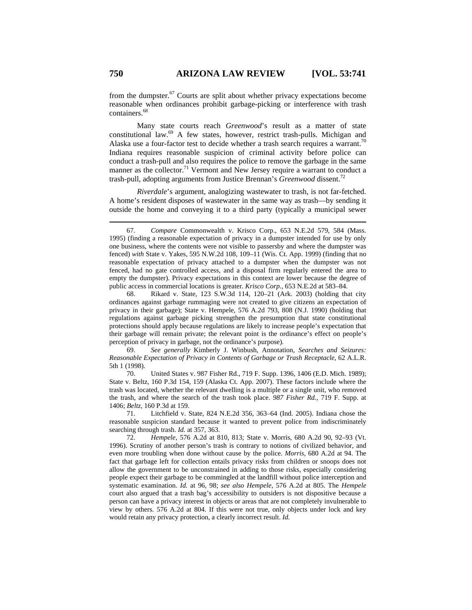from the dumpster. $67$  Courts are split about whether privacy expectations become reasonable when ordinances prohibit garbage-picking or interference with trash containers.<sup>68</sup>

Many state courts reach *Greenwood*'s result as a matter of state constitutional law.<sup>69</sup> A few states, however, restrict trash-pulls. Michigan and Alaska use a four-factor test to decide whether a trash search requires a warrant.<sup>70</sup> Indiana requires reasonable suspicion of criminal activity before police can conduct a trash-pull and also requires the police to remove the garbage in the same manner as the collector.<sup>71</sup> Vermont and New Jersey require a warrant to conduct a trash-pull, adopting arguments from Justice Brennan's *Greenwood* dissent.72

*Riverdale*'s argument, analogizing wastewater to trash, is not far-fetched. A home's resident disposes of wastewater in the same way as trash—by sending it outside the home and conveying it to a third party (typically a municipal sewer

 69. *See generally* Kimberly J. Winbush, Annotation, *Searches and Seizures: Reasonable Expectation of Privacy in Contents of Garbage or Trash Receptacle*, 62 A.L.R. 5th 1 (1998).

 70. United States v. 987 Fisher Rd., 719 F. Supp. 1396, 1406 (E.D. Mich. 1989); State v. Beltz, 160 P.3d 154, 159 (Alaska Ct. App. 2007). These factors include where the trash was located, whether the relevant dwelling is a multiple or a single unit, who removed the trash, and where the search of the trash took place. *987 Fisher Rd.*, 719 F. Supp. at 1406; *Beltz*, 160 P.3d at 159.

 71. Litchfield v. State, 824 N.E.2d 356, 363–64 (Ind. 2005). Indiana chose the reasonable suspicion standard because it wanted to prevent police from indiscriminately searching through trash. *Id.* at 357, 363.

 <sup>67.</sup> *Compare* Commonwealth v. Krisco Corp., 653 N.E.2d 579, 584 (Mass. 1995) (finding a reasonable expectation of privacy in a dumpster intended for use by only one business, where the contents were not visible to passersby and where the dumpster was fenced) *with* State v. Yakes, 595 N.W.2d 108, 109–11 (Wis. Ct. App. 1999) (finding that no reasonable expectation of privacy attached to a dumpster when the dumpster was not fenced, had no gate controlled access, and a disposal firm regularly entered the area to empty the dumpster). Privacy expectations in this context are lower because the degree of public access in commercial locations is greater. *Krisco Corp.*, 653 N.E.2d at 583–84.

 <sup>68.</sup> Rikard v. State, 123 S.W.3d 114, 120–21 (Ark. 2003) (holding that city ordinances against garbage rummaging were not created to give citizens an expectation of privacy in their garbage); State v. Hempele, 576 A.2d 793, 808 (N.J. 1990) (holding that regulations against garbage picking strengthen the presumption that state constitutional protections should apply because regulations are likely to increase people's expectation that their garbage will remain private; the relevant point is the ordinance's effect on people's perception of privacy in garbage, not the ordinance's purpose).

 <sup>72.</sup> *Hempele*, 576 A.2d at 810, 813; State v. Morris, 680 A.2d 90, 92–93 (Vt. 1996). Scrutiny of another person's trash is contrary to notions of civilized behavior, and even more troubling when done without cause by the police. *Morris*, 680 A.2d at 94. The fact that garbage left for collection entails privacy risks from children or snoops does not allow the government to be unconstrained in adding to those risks, especially considering people expect their garbage to be commingled at the landfill without police interception and systematic examination. *Id.* at 96, 98; *see also Hempele*, 576 A.2d at 805. The *Hempele* court also argued that a trash bag's accessibility to outsiders is not dispositive because a person can have a privacy interest in objects or areas that are not completely invulnerable to view by others. 576 A.2d at 804. If this were not true, only objects under lock and key would retain any privacy protection, a clearly incorrect result. *Id.*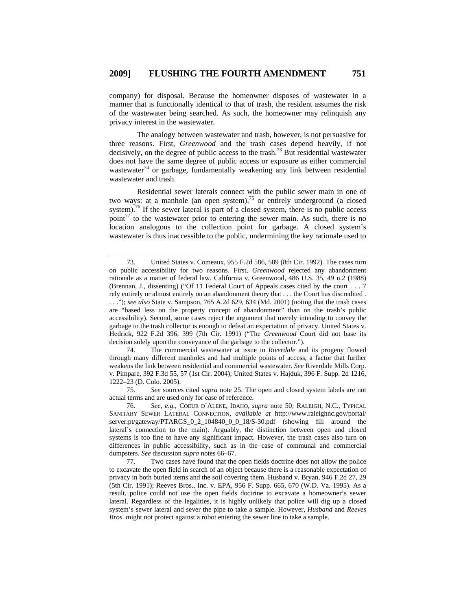company) for disposal. Because the homeowner disposes of wastewater in a manner that is functionally identical to that of trash, the resident assumes the risk of the wastewater being searched. As such, the homeowner may relinquish any privacy interest in the wastewater.

The analogy between wastewater and trash, however, is not persuasive for three reasons. First, *Greenwood* and the trash cases depend heavily, if not decisively, on the degree of public access to the trash.<sup>73</sup> But residential wastewater does not have the same degree of public access or exposure as either commercial wastewater<sup>74</sup> or garbage, fundamentally weakening any link between residential wastewater and trash.

Residential sewer laterals connect with the public sewer main in one of two ways: at a manhole (an open system),<sup>75</sup> or entirely underground (a closed system).<sup>76</sup> If the sewer lateral is part of a closed system, there is no public access point<sup>77</sup> to the wastewater prior to entering the sewer main. As such, there is no location analogous to the collection point for garbage. A closed system's wastewater is thus inaccessible to the public, undermining the key rationale used to

 74. The commercial wastewater at issue in *Riverdale* and its progeny flowed through many different manholes and had multiple points of access, a factor that further weakens the link between residential and commercial wastewater. *See* Riverdale Mills Corp. v. Pimpare, 392 F.3d 55, 57 (1st Cir. 2004); United States v. Hajduk, 396 F. Supp. 2d 1216, 1222–23 (D. Colo. 2005).

 75. *See* sources cited *supra* note 25. The open and closed system labels are not actual terms and are used only for ease of reference.

 76. *See, e.g.*, COEUR D'ALENE, IDAHO, *supra* note 50; RALEIGH, N.C., TYPICAL SANITARY SEWER LATERAL CONNECTION, *available at* http://www.raleighnc.gov/portal/ server.pt/gateway/PTARGS\_0\_2\_104840\_0\_0\_18/S-30.pdf (showing fill around the lateral's connection to the main). Arguably, the distinction between open and closed systems is too fine to have any significant impact. However, the trash cases also turn on differences in public accessibility, such as in the case of communal and commercial dumpsters. *See* discussion *supra* notes 66–67.

 77. Two cases have found that the open fields doctrine does not allow the police to excavate the open field in search of an object because there is a reasonable expectation of privacy in both buried items and the soil covering them. Husband v. Bryan, 946 F.2d 27, 29 (5th Cir. 1991); Reeves Bros., Inc. v. EPA, 956 F. Supp. 665, 670 (W.D. Va. 1995). As a result, police could not use the open fields doctrine to excavate a homeowner's sewer lateral. Regardless of the legalities, it is highly unlikely that police will dig up a closed system's sewer lateral and sever the pipe to take a sample. However, *Husband* and *Reeves Bros.* might not protect against a robot entering the sewer line to take a sample.

 <sup>73.</sup> United States v. Comeaux, 955 F.2d 586, 589 (8th Cir. 1992). The cases turn on public accessibility for two reasons. First, *Greenwood* rejected any abandonment rationale as a matter of federal law. California v. Greenwood, 486 U.S. 35, 49 n.2 (1988) (Brennan, J., dissenting) ("Of 11 Federal Court of Appeals cases cited by the court . . . 7 rely entirely or almost entirely on an abandonment theory that . . . the Court has discredited . . . ."); *see also* State v. Sampson, 765 A.2d 629, 634 (Md. 2001) (noting that the trash cases are "based less on the property concept of abandonment" than on the trash's public accessibility). Second, some cases reject the argument that merely intending to convey the garbage to the trash collector is enough to defeat an expectation of privacy. United States v. Hedrick, 922 F.2d 396, 399 (7th Cir. 1991) ("The *Greenwood* Court did not base its decision solely upon the conveyance of the garbage to the collector.").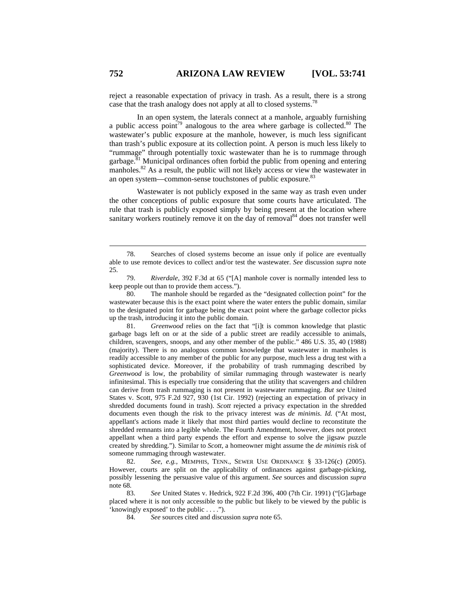reject a reasonable expectation of privacy in trash. As a result, there is a strong case that the trash analogy does not apply at all to closed systems.<sup>78</sup>

In an open system, the laterals connect at a manhole, arguably furnishing a public access point<sup>79</sup> analogous to the area where garbage is collected.<sup>80</sup> The wastewater's public exposure at the manhole, however, is much less significant than trash's public exposure at its collection point. A person is much less likely to "rummage" through potentially toxic wastewater than he is to rummage through garbage.<sup>81</sup> Municipal ordinances often forbid the public from opening and entering manholes.<sup>82</sup> As a result, the public will not likely access or view the wastewater in an open system—common-sense touchstones of public exposure.<sup>83</sup>

Wastewater is not publicly exposed in the same way as trash even under the other conceptions of public exposure that some courts have articulated. The rule that trash is publicly exposed simply by being present at the location where sanitary workers routinely remove it on the day of removal<sup>84</sup> does not transfer well

 81. *Greenwood* relies on the fact that "[i]t is common knowledge that plastic garbage bags left on or at the side of a public street are readily accessible to animals, children, scavengers, snoops, and any other member of the public." 486 U.S. 35, 40 (1988) (majority). There is no analogous common knowledge that wastewater in manholes is readily accessible to any member of the public for any purpose, much less a drug test with a sophisticated device. Moreover, if the probability of trash rummaging described by *Greenwood* is low, the probability of similar rummaging through wastewater is nearly infinitesimal. This is especially true considering that the utility that scavengers and children can derive from trash rummaging is not present in wastewater rummaging. *But see* United States v. Scott, 975 F.2d 927, 930 (1st Cir. 1992) (rejecting an expectation of privacy in shredded documents found in trash). *Scott* rejected a privacy expectation in the shredded documents even though the risk to the privacy interest was *de minimis*. *Id.* ("At most, appellant's actions made it likely that most third parties would decline to reconstitute the shredded remnants into a legible whole. The Fourth Amendment, however, does not protect appellant when a third party expends the effort and expense to solve the jigsaw puzzle created by shredding."). Similar to *Scott*, a homeowner might assume the *de minimis* risk of someone rummaging through wastewater.

 82. *See, e.g.*, MEMPHIS, TENN., SEWER USE ORDINANCE § 33-126(c) (2005). However, courts are split on the applicability of ordinances against garbage-picking, possibly lessening the persuasive value of this argument. *See* sources and discussion *supra* note 68.

 83. *See* United States v. Hedrick, 922 F.2d 396, 400 (7th Cir. 1991) ("[G]arbage placed where it is not only accessible to the public but likely to be viewed by the public is 'knowingly exposed' to the public . . . .").

84. *See* sources cited and discussion *supra* note 65.

 <sup>78.</sup> Searches of closed systems become an issue only if police are eventually able to use remote devices to collect and/or test the wastewater. *See* discussion *supra* note 25.

 <sup>79.</sup> *Riverdale*, 392 F.3d at 65 ("[A] manhole cover is normally intended less to keep people out than to provide them access.").

 <sup>80.</sup> The manhole should be regarded as the "designated collection point" for the wastewater because this is the exact point where the water enters the public domain, similar to the designated point for garbage being the exact point where the garbage collector picks up the trash, introducing it into the public domain.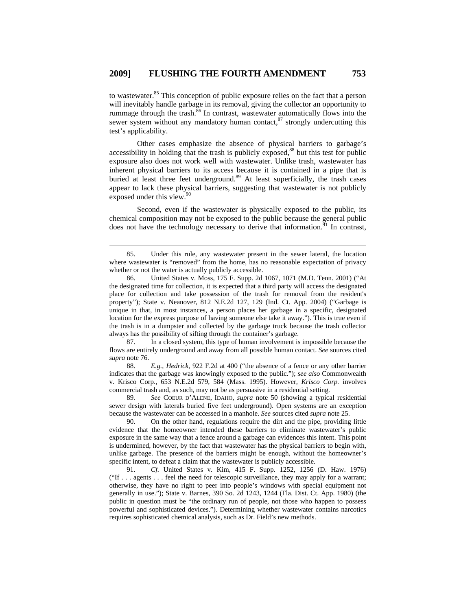to wastewater.85 This conception of public exposure relies on the fact that a person will inevitably handle garbage in its removal, giving the collector an opportunity to rummage through the trash.<sup>86</sup> In contrast, wastewater automatically flows into the sewer system without any mandatory human contact,<sup>87</sup> strongly undercutting this test's applicability.

Other cases emphasize the absence of physical barriers to garbage's accessibility in holding that the trash is publicly exposed,<sup>88</sup> but this test for public exposure also does not work well with wastewater. Unlike trash, wastewater has inherent physical barriers to its access because it is contained in a pipe that is buried at least three feet underground.<sup>89</sup> At least superficially, the trash cases appear to lack these physical barriers, suggesting that wastewater is not publicly exposed under this view.<sup>90</sup>

Second, even if the wastewater is physically exposed to the public, its chemical composition may not be exposed to the public because the general public does not have the technology necessary to derive that information.<sup>91</sup> In contrast,

 87. In a closed system, this type of human involvement is impossible because the flows are entirely underground and away from all possible human contact. *See* sources cited *supra* note 76.

 88. *E.g.*, *Hedrick*, 922 F.2d at 400 ("the absence of a fence or any other barrier indicates that the garbage was knowingly exposed to the public."); *see also* Commonwealth v. Krisco Corp., 653 N.E.2d 579, 584 (Mass. 1995). However, *Krisco Corp.* involves commercial trash and, as such, may not be as persuasive in a residential setting.

 89*. See* COEUR D'ALENE, IDAHO, *supra* note 50 (showing a typical residential sewer design with laterals buried five feet underground). Open systems are an exception because the wastewater can be accessed in a manhole. *See* sources cited *supra* note 25.

 90. On the other hand, regulations require the dirt and the pipe, providing little evidence that the homeowner intended these barriers to eliminate wastewater's public exposure in the same way that a fence around a garbage can evidences this intent. This point is undermined, however, by the fact that wastewater has the physical barriers to begin with, unlike garbage. The presence of the barriers might be enough, without the homeowner's specific intent, to defeat a claim that the wastewater is publicly accessible.

 91. *Cf.* United States v. Kim, 415 F. Supp. 1252, 1256 (D. Haw. 1976) ("If . . . agents . . . feel the need for telescopic surveillance, they may apply for a warrant; otherwise, they have no right to peer into people's windows with special equipment not generally in use."); State v. Barnes, 390 So. 2d 1243, 1244 (Fla. Dist. Ct. App. 1980) (the public in question must be "the ordinary run of people, not those who happen to possess powerful and sophisticated devices."). Determining whether wastewater contains narcotics requires sophisticated chemical analysis, such as Dr. Field's new methods.

 <sup>85.</sup> Under this rule, any wastewater present in the sewer lateral, the location where wastewater is "removed" from the home, has no reasonable expectation of privacy whether or not the water is actually publicly accessible.

 <sup>86.</sup> United States v. Moss, 175 F. Supp. 2d 1067, 1071 (M.D. Tenn. 2001) ("At the designated time for collection, it is expected that a third party will access the designated place for collection and take possession of the trash for removal from the resident's property"); State v. Neanover, 812 N.E.2d 127, 129 (Ind. Ct. App. 2004) ("Garbage is unique in that, in most instances, a person places her garbage in a specific, designated location for the express purpose of having someone else take it away."). This is true even if the trash is in a dumpster and collected by the garbage truck because the trash collector always has the possibility of sifting through the container's garbage.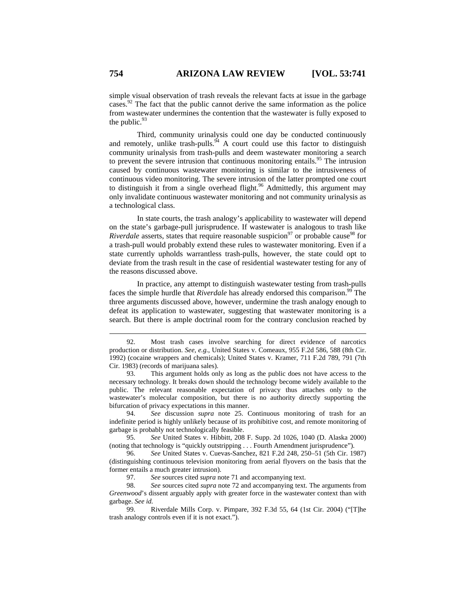simple visual observation of trash reveals the relevant facts at issue in the garbage cases.<sup>92</sup> The fact that the public cannot derive the same information as the police from wastewater undermines the contention that the wastewater is fully exposed to the public. $93$ 

Third, community urinalysis could one day be conducted continuously and remotely, unlike trash-pulls.<sup>94</sup> A court could use this factor to distinguish community urinalysis from trash-pulls and deem wastewater monitoring a search to prevent the severe intrusion that continuous monitoring entails.<sup>95</sup> The intrusion caused by continuous wastewater monitoring is similar to the intrusiveness of continuous video monitoring. The severe intrusion of the latter prompted one court to distinguish it from a single overhead flight.<sup>96</sup> Admittedly, this argument may only invalidate continuous wastewater monitoring and not community urinalysis as a technological class.

In state courts, the trash analogy's applicability to wastewater will depend on the state's garbage-pull jurisprudence. If wastewater is analogous to trash like *Riverdale* asserts, states that require reasonable suspicion<sup>97</sup> or probable cause<sup>98</sup> for a trash-pull would probably extend these rules to wastewater monitoring. Even if a state currently upholds warrantless trash-pulls, however, the state could opt to deviate from the trash result in the case of residential wastewater testing for any of the reasons discussed above.

In practice, any attempt to distinguish wastewater testing from trash-pulls faces the simple hurdle that *Riverdale* has already endorsed this comparison.<sup>99</sup> The three arguments discussed above, however, undermine the trash analogy enough to defeat its application to wastewater, suggesting that wastewater monitoring is a search. But there is ample doctrinal room for the contrary conclusion reached by

 93. This argument holds only as long as the public does not have access to the necessary technology. It breaks down should the technology become widely available to the public. The relevant reasonable expectation of privacy thus attaches only to the wastewater's molecular composition, but there is no authority directly supporting the bifurcation of privacy expectations in this manner.

 94. *See* discussion *supra* note 25. Continuous monitoring of trash for an indefinite period is highly unlikely because of its prohibitive cost, and remote monitoring of garbage is probably not technologically feasible.

 95. *See* United States v. Hibbitt, 208 F. Supp. 2d 1026, 1040 (D. Alaska 2000) (noting that technology is "quickly outstripping . . . Fourth Amendment jurisprudence").

 <sup>92.</sup> Most trash cases involve searching for direct evidence of narcotics production or distribution. *See, e.g.*, United States v. Comeaux, 955 F.2d 586, 588 (8th Cir. 1992) (cocaine wrappers and chemicals); United States v. Kramer, 711 F.2d 789, 791 (7th Cir. 1983) (records of marijuana sales).

 <sup>96.</sup> *See* United States v. Cuevas-Sanchez, 821 F.2d 248, 250–51 (5th Cir. 1987) (distinguishing continuous television monitoring from aerial flyovers on the basis that the former entails a much greater intrusion).

 <sup>97.</sup> *See* sources cited *supra* note 71 and accompanying text.

 <sup>98.</sup> *See* sources cited *supra* note 72 and accompanying text. The arguments from *Greenwood*'s dissent arguably apply with greater force in the wastewater context than with garbage. *See id.*

 <sup>99.</sup> Riverdale Mills Corp. v. Pimpare, 392 F.3d 55, 64 (1st Cir. 2004) ("[T]he trash analogy controls even if it is not exact.").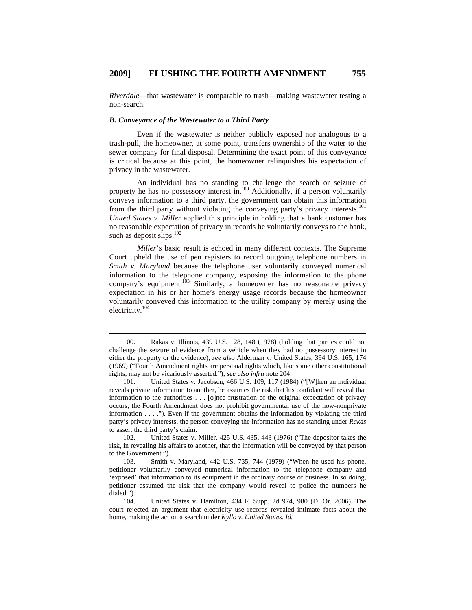*Riverdale*—that wastewater is comparable to trash—making wastewater testing a non-search.

#### *B. Conveyance of the Wastewater to a Third Party*

Even if the wastewater is neither publicly exposed nor analogous to a trash-pull, the homeowner, at some point, transfers ownership of the water to the sewer company for final disposal. Determining the exact point of this conveyance is critical because at this point, the homeowner relinquishes his expectation of privacy in the wastewater.

An individual has no standing to challenge the search or seizure of property he has no possessory interest in.<sup>100</sup> Additionally, if a person voluntarily conveys information to a third party, the government can obtain this information from the third party without violating the conveying party's privacy interests.<sup>101</sup> *United States v. Miller* applied this principle in holding that a bank customer has no reasonable expectation of privacy in records he voluntarily conveys to the bank, such as deposit slips.<sup>102</sup>

*Miller*'s basic result is echoed in many different contexts. The Supreme Court upheld the use of pen registers to record outgoing telephone numbers in *Smith v. Maryland* because the telephone user voluntarily conveyed numerical information to the telephone company, exposing the information to the phone company's equipment.<sup>103</sup> Similarly, a homeowner has no reasonable privacy expectation in his or her home's energy usage records because the homeowner voluntarily conveyed this information to the utility company by merely using the electricity.<sup>104</sup>

102. United States v. Miller, 425 U.S. 435, 443 (1976) ("The depositor takes the risk, in revealing his affairs to another, that the information will be conveyed by that person to the Government.").

 <sup>100.</sup> Rakas v. Illinois, 439 U.S. 128, 148 (1978) (holding that parties could not challenge the seizure of evidence from a vehicle when they had no possessory interest in either the property or the evidence); *see also* Alderman v. United States, 394 U.S. 165, 174 (1969) ("Fourth Amendment rights are personal rights which, like some other constitutional rights, may not be vicariously asserted."); *see also infra* note 204.

<sup>101.</sup> United States v. Jacobsen, 466 U.S. 109, 117 (1984) ("[W]hen an individual reveals private information to another, he assumes the risk that his confidant will reveal that information to the authorities . . . [o]nce frustration of the original expectation of privacy occurs, the Fourth Amendment does not prohibit governmental use of the now-nonprivate information . . . ."). Even if the government obtains the information by violating the third party's privacy interests, the person conveying the information has no standing under *Rakas* to assert the third party's claim.

<sup>103.</sup> Smith v. Maryland, 442 U.S. 735, 744 (1979) ("When he used his phone, petitioner voluntarily conveyed numerical information to the telephone company and 'exposed' that information to its equipment in the ordinary course of business. In so doing, petitioner assumed the risk that the company would reveal to police the numbers he dialed.").

<sup>104.</sup> United States v. Hamilton, 434 F. Supp. 2d 974, 980 (D. Or. 2006). The court rejected an argument that electricity use records revealed intimate facts about the home, making the action a search under *Kyllo v. United States*. *Id.*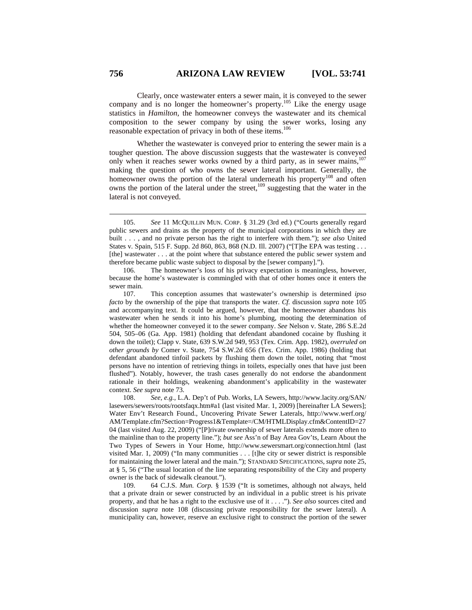Clearly, once wastewater enters a sewer main, it is conveyed to the sewer company and is no longer the homeowner's property.<sup>105</sup> Like the energy usage statistics in *Hamilton*, the homeowner conveys the wastewater and its chemical composition to the sewer company by using the sewer works, losing any reasonable expectation of privacy in both of these items.<sup>106</sup>

Whether the wastewater is conveyed prior to entering the sewer main is a tougher question. The above discussion suggests that the wastewater is conveyed only when it reaches sewer works owned by a third party, as in sewer mains,<sup>107</sup> making the question of who owns the sewer lateral important. Generally, the homeowner owns the portion of the lateral underneath his property<sup>108</sup> and often owns the portion of the lateral under the street,<sup>109</sup> suggesting that the water in the lateral is not conveyed.

108. *See, e.g.*, L.A. Dep't of Pub. Works, LA Sewers, http://www.lacity.org/SAN/ lasewers/sewers/roots/rootsfaqx.htm#a1 (last visited Mar. 1, 2009) [hereinafter LA Sewers]; Water Env't Research Found., Uncovering Private Sewer Laterals, http://www.werf.org/ AM/Template.cfm?Section=Progress1&Template=/CM/HTMLDisplay.cfm&ContentID=27 04 (last visited Aug. 22, 2009) ("[P]rivate ownership of sewer laterals extends more often to the mainline than to the property line."); *but see* Ass'n of Bay Area Gov'ts, Learn About the Two Types of Sewers in Your Home, http://www.sewersmart.org/connection.html (last visited Mar. 1, 2009) ("In many communities . . . [t]he city or sewer district is responsible for maintaining the lower lateral and the main."); STANDARD SPECIFICATIONS, *supra* note 25, at § 5, 56 ("The usual location of the line separating responsibility of the City and property owner is the back of sidewalk cleanout.").

109. 64 C.J.S. *Mun. Corp.* § 1539 ("It is sometimes, although not always, held that a private drain or sewer constructed by an individual in a public street is his private property, and that he has a right to the exclusive use of it . . . ."). *See also* sources cited and discussion *supra* note 108 (discussing private responsibility for the sewer lateral). A municipality can, however, reserve an exclusive right to construct the portion of the sewer

 <sup>105.</sup> *See* 11 MCQUILLIN MUN. CORP. § 31.29 (3rd ed.) ("Courts generally regard public sewers and drains as the property of the municipal corporations in which they are built . . . , and no private person has the right to interfere with them."); *see also* United States v. Spain, 515 F. Supp. 2d 860, 863, 868 (N.D. Ill. 2007) ("[T]he EPA was testing . . . [the] wastewater . . . at the point where that substance entered the public sewer system and therefore became public waste subject to disposal by the [sewer company].").

<sup>106.</sup> The homeowner's loss of his privacy expectation is meaningless, however, because the home's wastewater is commingled with that of other homes once it enters the sewer main.

<sup>107.</sup> This conception assumes that wastewater's ownership is determined *ipso facto* by the ownership of the pipe that transports the water. *Cf.* discussion *supra* note 105 and accompanying text. It could be argued, however, that the homeowner abandons his wastewater when he sends it into his home's plumbing, mooting the determination of whether the homeowner conveyed it to the sewer company. *See* Nelson v. State, 286 S.E.2d 504, 505–06 (Ga. App. 1981) (holding that defendant abandoned cocaine by flushing it down the toilet); Clapp v. State, 639 S.W.2d 949, 953 (Tex. Crim. App. 1982), *overruled on other grounds by* Comer v. State, 754 S.W.2d 656 (Tex. Crim. App. 1986) (holding that defendant abandoned tinfoil packets by flushing them down the toilet, noting that "most persons have no intention of retrieving things in toilets, especially ones that have just been flushed"). Notably, however, the trash cases generally do not endorse the abandonment rationale in their holdings, weakening abandonment's applicability in the wastewater context. *See supra* note 73.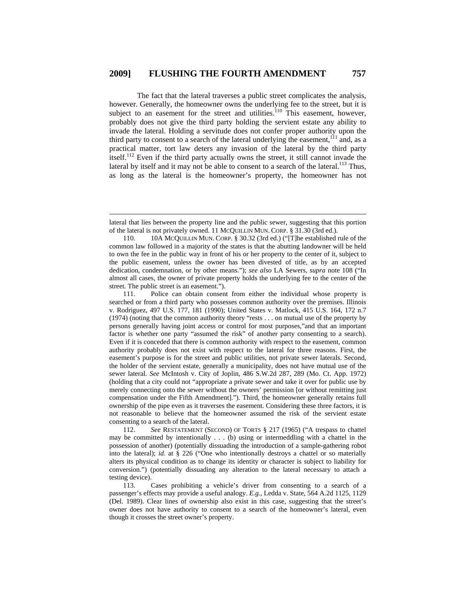The fact that the lateral traverses a public street complicates the analysis, however. Generally, the homeowner owns the underlying fee to the street, but it is subject to an easement for the street and utilities.<sup>110</sup> This easement, however, probably does not give the third party holding the servient estate any ability to invade the lateral. Holding a servitude does not confer proper authority upon the third party to consent to a search of the lateral underlying the easement, $111$  and, as a practical matter, tort law deters any invasion of the lateral by the third party itself.112 Even if the third party actually owns the street, it still cannot invade the lateral by itself and it may not be able to consent to a search of the lateral.<sup>113</sup> Thus, as long as the lateral is the homeowner's property, the homeowner has not

 $\overline{a}$ 

112. *See* RESTATEMENT (SECOND) OF TORTS § 217 (1965) ("A trespass to chattel may be committed by intentionally . . . (b) using or intermeddling with a chattel in the possession of another) (potentially dissuading the introduction of a sample-gathering robot into the lateral); *id.* at § 226 ("One who intentionally destroys a chattel or so materially alters its physical condition as to change its identity or character is subject to liability for conversion.") (potentially dissuading any alteration to the lateral necessary to attach a testing device).

113. Cases prohibiting a vehicle's driver from consenting to a search of a passenger's effects may provide a useful analogy. *E.g.*, Ledda v. State, 564 A.2d 1125, 1129 (Del. 1989). Clear lines of ownership also exist in this case, suggesting that the street's owner does not have authority to consent to a search of the homeowner's lateral, even though it crosses the street owner's property.

lateral that lies between the property line and the public sewer, suggesting that this portion of the lateral is not privately owned. 11 MCQUILLIN MUN. CORP. § 31.30 (3rd ed.).

<sup>110. 10</sup>A MCQUILLIN MUN. CORP. § 30.32 (3rd ed.) ("[T]he established rule of the common law followed in a majority of the states is that the abutting landowner will be held to own the fee in the public way in front of his or her property to the center of it, subject to the public easement, unless the owner has been divested of title, as by an accepted dedication, condemnation, or by other means."); *see also* LA Sewers, *supra* note 108 ("In almost all cases, the owner of private property holds the underlying fee to the center of the street. The public street is an easement.").

<sup>111.</sup> Police can obtain consent from either the individual whose property is searched or from a third party who possesses common authority over the premises. Illinois v. Rodriguez, 497 U.S. 177, 181 (1990); United States v. Matlock, 415 U.S. 164, 172 n.7 (1974) (noting that the common authority theory "rests . . . on mutual use of the property by persons generally having joint access or control for most purposes,"and that an important factor is whether one party "assumed the risk" of another party consenting to a search). Even if it is conceded that there is common authority with respect to the easement, common authority probably does not exist with respect to the lateral for three reasons. First, the easement's purpose is for the street and public utilities, not private sewer laterals. Second, the holder of the servient estate, generally a municipality, does not have mutual use of the sewer lateral. *See* McIntosh v. City of Joplin, 486 S.W.2d 287, 289 (Mo. Ct. App. 1972) (holding that a city could not "appropriate a private sewer and take it over for public use by merely connecting onto the sewer without the owners' permission [or without remitting just compensation under the Fifth Amendment]."). Third, the homeowner generally retains full ownership of the pipe even as it traverses the easement. Considering these three factors, it is not reasonable to believe that the homeowner assumed the risk of the servient estate consenting to a search of the lateral.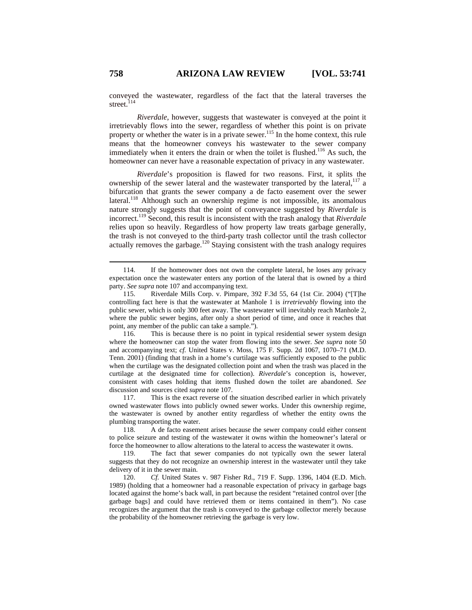conveyed the wastewater, regardless of the fact that the lateral traverses the street.<sup>114</sup>

*Riverdale*, however, suggests that wastewater is conveyed at the point it irretrievably flows into the sewer, regardless of whether this point is on private property or whether the water is in a private sewer.<sup>115</sup> In the home context, this rule means that the homeowner conveys his wastewater to the sewer company immediately when it enters the drain or when the toilet is flushed.<sup>116</sup> As such, the homeowner can never have a reasonable expectation of privacy in any wastewater.

*Riverdale*'s proposition is flawed for two reasons. First, it splits the ownership of the sewer lateral and the wastewater transported by the lateral, $117$  a bifurcation that grants the sewer company a de facto easement over the sewer lateral.<sup>118</sup> Although such an ownership regime is not impossible, its anomalous nature strongly suggests that the point of conveyance suggested by *Riverdale* is incorrect.119 Second, this result is inconsistent with the trash analogy that *Riverdale* relies upon so heavily. Regardless of how property law treats garbage generally, the trash is not conveyed to the third-party trash collector until the trash collector actually removes the garbage.<sup>120</sup> Staying consistent with the trash analogy requires

117. This is the exact reverse of the situation described earlier in which privately owned wastewater flows into publicly owned sewer works. Under this ownership regime, the wastewater is owned by another entity regardless of whether the entity owns the plumbing transporting the water.

118. A de facto easement arises because the sewer company could either consent to police seizure and testing of the wastewater it owns within the homeowner's lateral or force the homeowner to allow alterations to the lateral to access the wastewater it owns.

119. The fact that sewer companies do not typically own the sewer lateral suggests that they do not recognize an ownership interest in the wastewater until they take delivery of it in the sewer main.

120. *Cf.* United States v. 987 Fisher Rd., 719 F. Supp. 1396, 1404 (E.D. Mich. 1989) (holding that a homeowner had a reasonable expectation of privacy in garbage bags located against the home's back wall, in part because the resident "retained control over [the garbage bags] and could have retrieved them or items contained in them"). No case recognizes the argument that the trash is conveyed to the garbage collector merely because the probability of the homeowner retrieving the garbage is very low.

 <sup>114.</sup> If the homeowner does not own the complete lateral, he loses any privacy expectation once the wastewater enters any portion of the lateral that is owned by a third party. *See supra* note 107 and accompanying text.

<sup>115.</sup> Riverdale Mills Corp. v. Pimpare, 392 F.3d 55, 64 (1st Cir. 2004) ("[T]he controlling fact here is that the wastewater at Manhole 1 is *irretrievably* flowing into the public sewer, which is only 300 feet away. The wastewater will inevitably reach Manhole 2, where the public sewer begins, after only a short period of time, and once it reaches that point, any member of the public can take a sample.").

<sup>116.</sup> This is because there is no point in typical residential sewer system design where the homeowner can stop the water from flowing into the sewer. *See supra* note 50 and accompanying text; *cf.* United States v. Moss, 175 F. Supp. 2d 1067, 1070–71 (M.D. Tenn. 2001) (finding that trash in a home's curtilage was sufficiently exposed to the public when the curtilage was the designated collection point and when the trash was placed in the curtilage at the designated time for collection). *Riverdale*'s conception is, however, consistent with cases holding that items flushed down the toilet are abandoned. *See* discussion and sources cited *supra* note 107.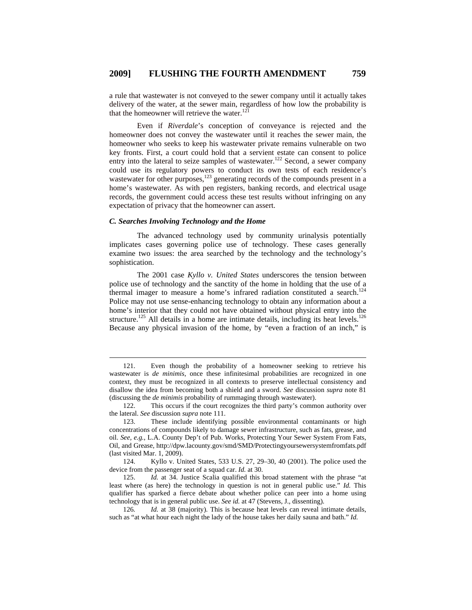a rule that wastewater is not conveyed to the sewer company until it actually takes delivery of the water, at the sewer main, regardless of how low the probability is that the homeowner will retrieve the water. $121$ 

Even if *Riverdale*'s conception of conveyance is rejected and the homeowner does not convey the wastewater until it reaches the sewer main, the homeowner who seeks to keep his wastewater private remains vulnerable on two key fronts. First, a court could hold that a servient estate can consent to police entry into the lateral to seize samples of wastewater.<sup>122</sup> Second, a sewer company could use its regulatory powers to conduct its own tests of each residence's wastewater for other purposes, $1^{23}$  generating records of the compounds present in a home's wastewater. As with pen registers, banking records, and electrical usage records, the government could access these test results without infringing on any expectation of privacy that the homeowner can assert.

#### *C. Searches Involving Technology and the Home*

The advanced technology used by community urinalysis potentially implicates cases governing police use of technology. These cases generally examine two issues: the area searched by the technology and the technology's sophistication.

The 2001 case *Kyllo v. United States* underscores the tension between police use of technology and the sanctity of the home in holding that the use of a thermal imager to measure a home's infrared radiation constituted a search.<sup>124</sup> Police may not use sense-enhancing technology to obtain any information about a home's interior that they could not have obtained without physical entry into the structure.<sup>125</sup> All details in a home are intimate details, including its heat levels.<sup>126</sup> Because any physical invasion of the home, by "even a fraction of an inch," is

 <sup>121.</sup> Even though the probability of a homeowner seeking to retrieve his wastewater is *de minimis*, once these infinitesimal probabilities are recognized in one context, they must be recognized in all contexts to preserve intellectual consistency and disallow the idea from becoming both a shield and a sword. *See* discussion *supra* note 81 (discussing the *de minimis* probability of rummaging through wastewater).

<sup>122.</sup> This occurs if the court recognizes the third party's common authority over the lateral. *See* discussion *supra* note 111.

<sup>123.</sup> These include identifying possible environmental contaminants or high concentrations of compounds likely to damage sewer infrastructure, such as fats, grease, and oil. *See, e.g.*, L.A. County Dep't of Pub. Works, Protecting Your Sewer System From Fats, Oil, and Grease, http://dpw.lacounty.gov/smd/SMD/Protectingyoursewersystemfromfats.pdf (last visited Mar. 1, 2009).

<sup>124.</sup> Kyllo v. United States, 533 U.S. 27, 29–30, 40 (2001). The police used the device from the passenger seat of a squad car. *Id.* at 30.

<sup>125.</sup> *Id.* at 34. Justice Scalia qualified this broad statement with the phrase "at least where (as here) the technology in question is not in general public use." *Id.* This qualifier has sparked a fierce debate about whether police can peer into a home using technology that is in general public use. *See id.* at 47 (Stevens, J., dissenting).

<sup>126</sup>*. Id.* at 38 (majority). This is because heat levels can reveal intimate details, such as "at what hour each night the lady of the house takes her daily sauna and bath." *Id.*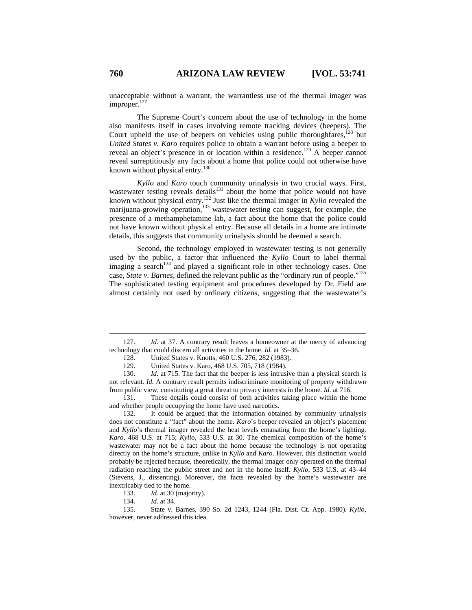unacceptable without a warrant, the warrantless use of the thermal imager was improper. $127$ 

The Supreme Court's concern about the use of technology in the home also manifests itself in cases involving remote tracking devices (beepers). The Court upheld the use of beepers on vehicles using public thoroughfares,<sup>128</sup> but *United States v. Karo* requires police to obtain a warrant before using a beeper to reveal an object's presence in or location within a residence.<sup>129</sup> A beeper cannot reveal surreptitiously any facts about a home that police could not otherwise have known without physical entry.<sup>130</sup>

*Kyllo* and *Karo* touch community urinalysis in two crucial ways. First, wastewater testing reveals details<sup>131</sup> about the home that police would not have known without physical entry.132 Just like the thermal imager in *Kyllo* revealed the marijuana-growing operation,<sup>133</sup> wastewater testing can suggest, for example, the presence of a methamphetamine lab, a fact about the home that the police could not have known without physical entry. Because all details in a home are intimate details, this suggests that community urinalysis should be deemed a search.

Second, the technology employed in wastewater testing is not generally used by the public, a factor that influenced the *Kyllo* Court to label thermal imaging a search $134$  and played a significant role in other technology cases. One case, *State v. Barnes*, defined the relevant public as the "ordinary run of people."135 The sophisticated testing equipment and procedures developed by Dr. Field are almost certainly not used by ordinary citizens, suggesting that the wastewater's

131. These details could consist of both activities taking place within the home and whether people occupying the home have used narcotics.

132. It could be argued that the information obtained by community urinalysis does not constitute a "fact" about the home. *Karo*'s beeper revealed an object's placement and *Kyllo*'s thermal imager revealed the heat levels emanating from the home's lighting. *Karo*, 468 U.S. at 715; *Kyllo*, 533 U.S. at 30. The chemical composition of the home's wastewater may not be a fact about the home because the technology is not operating directly on the home's structure, unlike in *Kyllo* and *Karo*. However, this distinction would probably be rejected because, theoretically, the thermal imager only operated on the thermal radiation reaching the public street and not in the home itself. *Kyllo*, 533 U.S. at 43–44 (Stevens, J., dissenting). Moreover, the facts revealed by the home's wastewater are inextricably tied to the home.

133. *Id.* at 30 (majority).

 <sup>127.</sup> *Id.* at 37. A contrary result leaves a homeowner at the mercy of advancing technology that could discern all activities in the home. *Id.* at 35–36.

<sup>128.</sup> United States v. Knotts, 460 U.S. 276, 282 (1983).

<sup>129.</sup> United States v. Karo, 468 U.S. 705, 718 (1984).

<sup>130.</sup> *Id.* at 715. The fact that the beeper is less intrusive than a physical search is not relevant. *Id.* A contrary result permits indiscriminate monitoring of property withdrawn from public view, constituting a great threat to privacy interests in the home. *Id.* at 716.

<sup>134.</sup> *Id.* at 34.

<sup>135.</sup> State v. Barnes, 390 So. 2d 1243, 1244 (Fla. Dist. Ct. App. 1980). *Kyllo*, however, never addressed this idea.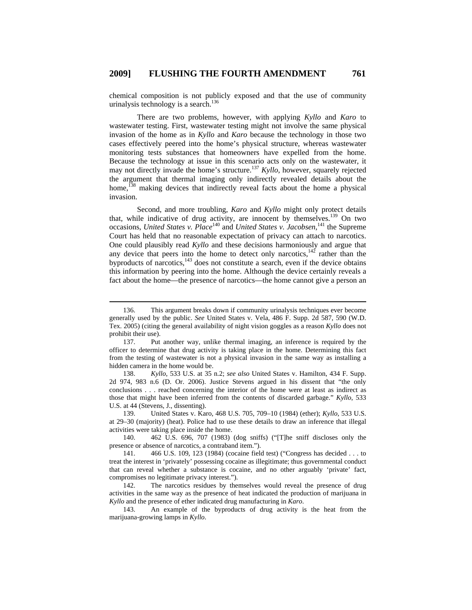chemical composition is not publicly exposed and that the use of community urinalysis technology is a search.<sup>136</sup>

There are two problems, however, with applying *Kyllo* and *Karo* to wastewater testing. First, wastewater testing might not involve the same physical invasion of the home as in *Kyllo* and *Karo* because the technology in those two cases effectively peered into the home's physical structure, whereas wastewater monitoring tests substances that homeowners have expelled from the home. Because the technology at issue in this scenario acts only on the wastewater, it may not directly invade the home's structure.<sup>137</sup> *Kyllo*, however, squarely rejected the argument that thermal imaging only indirectly revealed details about the home,<sup>138</sup> making devices that indirectly reveal facts about the home a physical invasion.

Second, and more troubling, *Karo* and *Kyllo* might only protect details that, while indicative of drug activity, are innocent by themselves.<sup>139</sup> On two occasions, *United States v. Place*<sup>140</sup> and *United States v. Jacobsen*,<sup>141</sup> the Supreme Court has held that no reasonable expectation of privacy can attach to narcotics. One could plausibly read *Kyllo* and these decisions harmoniously and argue that any device that peers into the home to detect only narcotics, $142$  rather than the byproducts of narcotics, $143$  does not constitute a search, even if the device obtains this information by peering into the home. Although the device certainly reveals a fact about the home—the presence of narcotics—the home cannot give a person an

138. *Kyllo*, 533 U.S. at 35 n.2; *see also* United States v. Hamilton, 434 F. Supp. 2d 974, 983 n.6 (D. Or. 2006). Justice Stevens argued in his dissent that "the only conclusions . . . reached concerning the interior of the home were at least as indirect as those that might have been inferred from the contents of discarded garbage." *Kyllo*, 533 U.S. at 44 (Stevens, J., dissenting).

139. United States v. Karo, 468 U.S. 705, 709–10 (1984) (ether); *Kyllo*, 533 U.S. at 29–30 (majority) (heat). Police had to use these details to draw an inference that illegal activities were taking place inside the home.

140. 462 U.S. 696, 707 (1983) (dog sniffs) ("[T]he sniff discloses only the presence or absence of narcotics, a contraband item.").

141. 466 U.S. 109, 123 (1984) (cocaine field test) ("Congress has decided . . . to treat the interest in 'privately' possessing cocaine as illegitimate; thus governmental conduct that can reveal whether a substance is cocaine, and no other arguably 'private' fact, compromises no legitimate privacy interest.").

142. The narcotics residues by themselves would reveal the presence of drug activities in the same way as the presence of heat indicated the production of marijuana in *Kyllo* and the presence of ether indicated drug manufacturing in *Karo*.

143. An example of the byproducts of drug activity is the heat from the marijuana-growing lamps in *Kyllo*.

 <sup>136.</sup> This argument breaks down if community urinalysis techniques ever become generally used by the public. *See* United States v. Vela, 486 F. Supp. 2d 587, 590 (W.D. Tex. 2005) (citing the general availability of night vision goggles as a reason *Kyllo* does not prohibit their use).

<sup>137.</sup> Put another way, unlike thermal imaging, an inference is required by the officer to determine that drug activity is taking place in the home. Determining this fact from the testing of wastewater is not a physical invasion in the same way as installing a hidden camera in the home would be.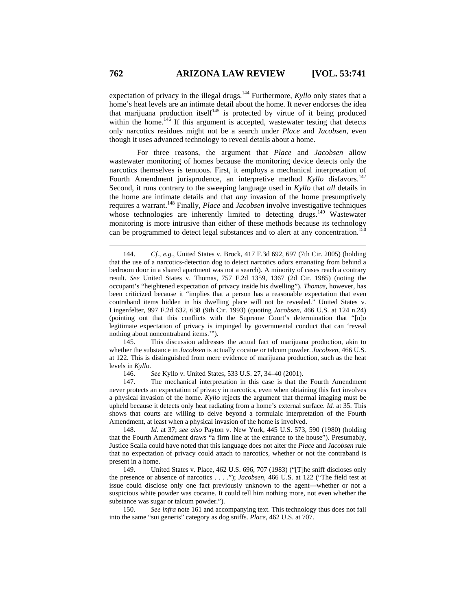expectation of privacy in the illegal drugs.<sup>144</sup> Furthermore, *Kyllo* only states that a home's heat levels are an intimate detail about the home. It never endorses the idea that marijuana production itself $145$  is protected by virtue of it being produced within the home.<sup>146</sup> If this argument is accepted, wastewater testing that detects only narcotics residues might not be a search under *Place* and *Jacobsen*, even though it uses advanced technology to reveal details about a home.

For three reasons, the argument that *Place* and *Jacobsen* allow wastewater monitoring of homes because the monitoring device detects only the narcotics themselves is tenuous. First, it employs a mechanical interpretation of Fourth Amendment jurisprudence, an interpretive method *Kyllo* disfavors.<sup>147</sup> Second, it runs contrary to the sweeping language used in *Kyllo* that *all* details in the home are intimate details and that *any* invasion of the home presumptively requires a warrant.148 Finally, *Place* and *Jacobsen* involve investigative techniques whose technologies are inherently limited to detecting drugs.<sup>149</sup> Wastewater monitoring is more intrusive than either of these methods because its technology can be programmed to detect legal substances and to alert at any concentration.

145. This discussion addresses the actual fact of marijuana production, akin to whether the substance in *Jacobsen* is actually cocaine or talcum powder. *Jacobsen*, 466 U.S. at 122. This is distinguished from mere evidence of marijuana production, such as the heat levels in *Kyllo*.

146. *See* Kyllo v. United States, 533 U.S. 27, 34–40 (2001).

147. The mechanical interpretation in this case is that the Fourth Amendment never protects an expectation of privacy in narcotics, even when obtaining this fact involves a physical invasion of the home. *Kyllo* rejects the argument that thermal imaging must be upheld because it detects only heat radiating from a home's external surface. *Id.* at 35. This shows that courts are willing to delve beyond a formulaic interpretation of the Fourth Amendment, at least when a physical invasion of the home is involved.

148. *Id.* at 37; *see also* Payton v. New York, 445 U.S. 573, 590 (1980) (holding that the Fourth Amendment draws "a firm line at the entrance to the house"). Presumably, Justice Scalia could have noted that this language does not alter the *Place* and *Jacobsen* rule that no expectation of privacy could attach to narcotics, whether or not the contraband is present in a home.

149. United States v. Place, 462 U.S. 696, 707 (1983) ("[T]he sniff discloses only the presence or absence of narcotics . . . ."); *Jacobsen*, 466 U.S. at 122 ("The field test at issue could disclose only one fact previously unknown to the agent—whether or not a suspicious white powder was cocaine. It could tell him nothing more, not even whether the substance was sugar or talcum powder.").

150. *See infra* note 161 and accompanying text. This technology thus does not fall into the same "sui generis" category as dog sniffs. *Place*, 462 U.S. at 707.

 <sup>144.</sup> *Cf.*, *e.g.*, United States v. Brock, 417 F.3d 692, 697 (7th Cir. 2005) (holding that the use of a narcotics-detection dog to detect narcotics odors emanating from behind a bedroom door in a shared apartment was not a search). A minority of cases reach a contrary result. *See* United States v. Thomas, 757 F.2d 1359, 1367 (2d Cir. 1985) (noting the occupant's "heightened expectation of privacy inside his dwelling"). *Thomas*, however, has been criticized because it "implies that a person has a reasonable expectation that even contraband items hidden in his dwelling place will not be revealed." United States v. Lingenfelter, 997 F.2d 632, 638 (9th Cir. 1993) (quoting *Jacobsen*, 466 U.S. at 124 n.24) (pointing out that this conflicts with the Supreme Court's determination that "[n]o legitimate expectation of privacy is impinged by governmental conduct that can 'reveal nothing about noncontraband items.'").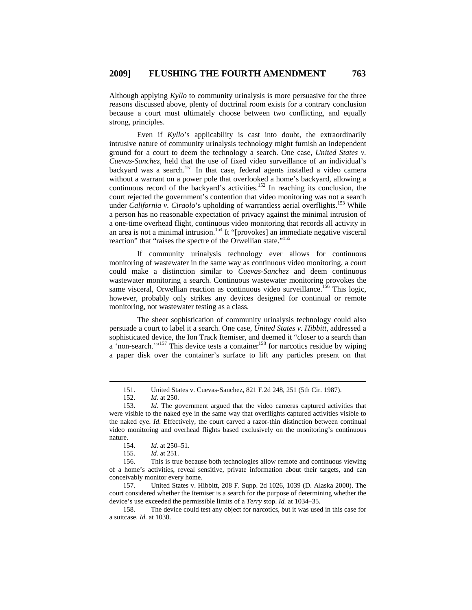Although applying *Kyllo* to community urinalysis is more persuasive for the three reasons discussed above, plenty of doctrinal room exists for a contrary conclusion because a court must ultimately choose between two conflicting, and equally strong, principles.

Even if *Kyllo*'s applicability is cast into doubt, the extraordinarily intrusive nature of community urinalysis technology might furnish an independent ground for a court to deem the technology a search. One case, *United States v. Cuevas-Sanchez*, held that the use of fixed video surveillance of an individual's backyard was a search.<sup>151</sup> In that case, federal agents installed a video camera without a warrant on a power pole that overlooked a home's backyard, allowing a continuous record of the backyard's activities.152 In reaching its conclusion, the court rejected the government's contention that video monitoring was not a search under *California v. Ciraolo*'s upholding of warrantless aerial overflights.<sup>153</sup> While a person has no reasonable expectation of privacy against the minimal intrusion of a one-time overhead flight, continuous video monitoring that records all activity in and area is not a minimal intrusion.<sup>154</sup> It "[provokes] an immediate negative visceral reaction" that "raises the spectre of the Orwellian state."155

If community urinalysis technology ever allows for continuous monitoring of wastewater in the same way as continuous video monitoring, a court could make a distinction similar to *Cuevas-Sanchez* and deem continuous wastewater monitoring a search. Continuous wastewater monitoring provokes the same visceral, Orwellian reaction as continuous video surveillance.<sup>156</sup> This logic, however, probably only strikes any devices designed for continual or remote monitoring, not wastewater testing as a class.

The sheer sophistication of community urinalysis technology could also persuade a court to label it a search. One case, *United States v. Hibbitt*, addressed a sophisticated device, the Ion Track Itemiser, and deemed it "closer to a search than a 'non-search.'"<sup>157</sup> This device tests a container<sup>158</sup> for narcotics residue by wiping a paper disk over the container's surface to lift any particles present on that

 <sup>151.</sup> United States v. Cuevas-Sanchez, 821 F.2d 248, 251 (5th Cir. 1987).

<sup>152.</sup> *Id.* at 250.

<sup>153.</sup> *Id.* The government argued that the video cameras captured activities that were visible to the naked eye in the same way that overflights captured activities visible to the naked eye. *Id*. Effectively, the court carved a razor-thin distinction between continual video monitoring and overhead flights based exclusively on the monitoring's continuous nature.

<sup>154.</sup> *Id.* at 250–51.

<sup>155.</sup> *Id.* at 251.

<sup>156.</sup> This is true because both technologies allow remote and continuous viewing of a home's activities, reveal sensitive, private information about their targets, and can conceivably monitor every home.

<sup>157.</sup> United States v. Hibbitt, 208 F. Supp. 2d 1026, 1039 (D. Alaska 2000). The court considered whether the Itemiser is a search for the purpose of determining whether the device's use exceeded the permissible limits of a *Terry* stop. *Id.* at 1034–35.

<sup>158.</sup> The device could test any object for narcotics, but it was used in this case for a suitcase. *Id.* at 1030.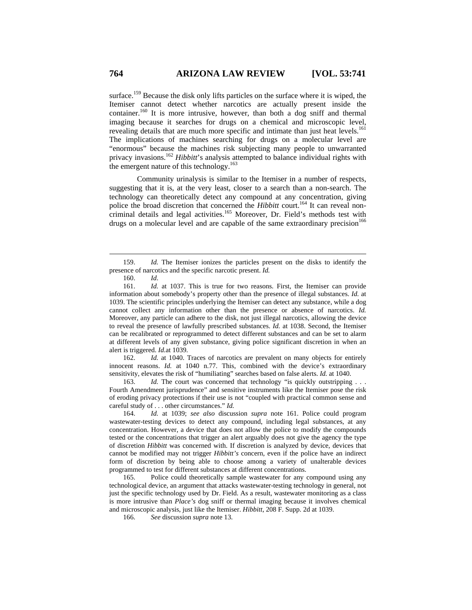surface.<sup>159</sup> Because the disk only lifts particles on the surface where it is wiped, the Itemiser cannot detect whether narcotics are actually present inside the container.<sup>160</sup> It is more intrusive, however, than both a dog sniff and thermal imaging because it searches for drugs on a chemical and microscopic level, revealing details that are much more specific and intimate than just heat levels.<sup>161</sup> The implications of machines searching for drugs on a molecular level are "enormous" because the machines risk subjecting many people to unwarranted privacy invasions.162 *Hibbitt*'s analysis attempted to balance individual rights with the emergent nature of this technology.<sup>163</sup>

Community urinalysis is similar to the Itemiser in a number of respects, suggesting that it is, at the very least, closer to a search than a non-search. The technology can theoretically detect any compound at any concentration, giving police the broad discretion that concerned the *Hibbitt* court.<sup>164</sup> It can reveal noncriminal details and legal activities.<sup>165</sup> Moreover, Dr. Field's methods test with drugs on a molecular level and are capable of the same extraordinary precision<sup>166</sup>

162. *Id.* at 1040. Traces of narcotics are prevalent on many objects for entirely innocent reasons. *Id.* at 1040 n.77. This, combined with the device's extraordinary sensitivity, elevates the risk of "humiliating" searches based on false alerts. *Id.* at 1040.

163. *Id.* The court was concerned that technology "is quickly outstripping . . . Fourth Amendment jurisprudence" and sensitive instruments like the Itemiser pose the risk of eroding privacy protections if their use is not "coupled with practical common sense and careful study of . . . other circumstances." *Id.*

164. *Id.* at 1039; *see also* discussion *supra* note 161. Police could program wastewater-testing devices to detect any compound, including legal substances, at any concentration. However, a device that does not allow the police to modify the compounds tested or the concentrations that trigger an alert arguably does not give the agency the type of discretion *Hibbitt* was concerned with. If discretion is analyzed by device, devices that cannot be modified may not trigger *Hibbitt's* concern, even if the police have an indirect form of discretion by being able to choose among a variety of unalterable devices programmed to test for different substances at different concentrations.

165. Police could theoretically sample wastewater for any compound using any technological device, an argument that attacks wastewater-testing technology in general, not just the specific technology used by Dr. Field. As a result, wastewater monitoring as a class is more intrusive than *Place's* dog sniff or thermal imaging because it involves chemical and microscopic analysis, just like the Itemiser. *Hibbitt*, 208 F. Supp. 2d at 1039.

166. *See* discussion *supra* note 13.

 <sup>159.</sup> *Id.* The Itemiser ionizes the particles present on the disks to identify the presence of narcotics and the specific narcotic present. *Id.*

<sup>160.</sup> *Id*.

<sup>161.</sup> *Id.* at 1037. This is true for two reasons. First, the Itemiser can provide information about somebody's property other than the presence of illegal substances. *Id.* at 1039. The scientific principles underlying the Itemiser can detect any substance, while a dog cannot collect any information other than the presence or absence of narcotics. *Id.* Moreover, any particle can adhere to the disk, not just illegal narcotics, allowing the device to reveal the presence of lawfully prescribed substances. *Id.* at 1038. Second, the Itemiser can be recalibrated or reprogrammed to detect different substances and can be set to alarm at different levels of any given substance, giving police significant discretion in when an alert is triggered. *Id.*at 1039.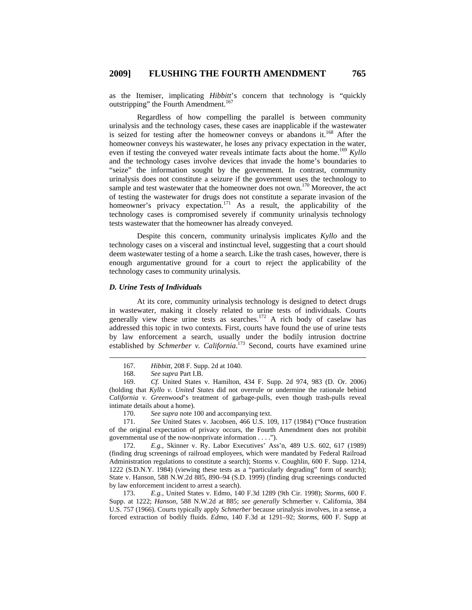as the Itemiser, implicating *Hibbitt*'s concern that technology is "quickly outstripping" the Fourth Amendment.<sup>167</sup>

Regardless of how compelling the parallel is between community urinalysis and the technology cases, these cases are inapplicable if the wastewater is seized for testing after the homeowner conveys or abandons it.<sup>168</sup> After the homeowner conveys his wastewater, he loses any privacy expectation in the water, even if testing the conveyed water reveals intimate facts about the home.<sup>169</sup> *Kyllo* and the technology cases involve devices that invade the home's boundaries to "seize" the information sought by the government. In contrast, community urinalysis does not constitute a seizure if the government uses the technology to sample and test wastewater that the homeowner does not own.<sup>170</sup> Moreover, the act of testing the wastewater for drugs does not constitute a separate invasion of the homeowner's privacy expectation.<sup>171</sup> As a result, the applicability of the technology cases is compromised severely if community urinalysis technology tests wastewater that the homeowner has already conveyed.

Despite this concern, community urinalysis implicates *Kyllo* and the technology cases on a visceral and instinctual level, suggesting that a court should deem wastewater testing of a home a search. Like the trash cases, however, there is enough argumentative ground for a court to reject the applicability of the technology cases to community urinalysis.

## *D. Urine Tests of Individuals*

At its core, community urinalysis technology is designed to detect drugs in wastewater, making it closely related to urine tests of individuals. Courts generally view these urine tests as searches.<sup>172</sup> A rich body of caselaw has addressed this topic in two contexts. First, courts have found the use of urine tests by law enforcement a search, usually under the bodily intrusion doctrine established by *Schmerber v. California*.<sup>173</sup> Second, courts have examined urine

170. *See supra* note 100 and accompanying text.

171. *See* United States v. Jacobsen, 466 U.S. 109, 117 (1984) ("Once frustration of the original expectation of privacy occurs, the Fourth Amendment does not prohibit governmental use of the now-nonprivate information . . . .").

172. *E.g.*, Skinner v. Ry. Labor Executives' Ass'n, 489 U.S. 602, 617 (1989) (finding drug screenings of railroad employees, which were mandated by Federal Railroad Administration regulations to constitute a search); Storms v. Coughlin, 600 F. Supp. 1214, 1222 (S.D.N.Y. 1984) (viewing these tests as a "particularly degrading" form of search); State v. Hanson, 588 N.W.2d 885, 890–94 (S.D. 1999) (finding drug screenings conducted by law enforcement incident to arrest a search).

173. *E.g.*, United States v. Edmo, 140 F.3d 1289 (9th Cir. 1998); *Storms*, 600 F. Supp. at 1222; *Hanson*, 588 N.W.2d at 885; *see generally* Schmerber v. California, 384 U.S. 757 (1966). Courts typically apply *Schmerber* because urinalysis involves, in a sense, a forced extraction of bodily fluids. *Edmo*, 140 F.3d at 1291–92; *Storms*, 600 F. Supp at

 <sup>167.</sup> *Hibbitt*, 208 F. Supp. 2d at 1040.

<sup>168.</sup> *See supra* Part I.B.

<sup>169.</sup> *Cf.* United States v. Hamilton, 434 F. Supp. 2d 974, 983 (D. Or. 2006) (holding that *Kyllo v. United States* did not overrule or undermine the rationale behind *California v. Greenwood*'s treatment of garbage-pulls, even though trash-pulls reveal intimate details about a home).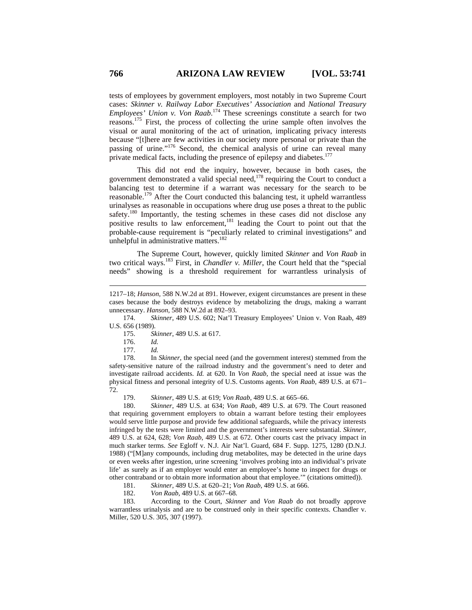tests of employees by government employers, most notably in two Supreme Court cases: *Skinner v. Railway Labor Executives' Association* and *National Treasury Employees' Union v. Von Raab*. 174 These screenings constitute a search for two reasons.175 First, the process of collecting the urine sample often involves the visual or aural monitoring of the act of urination, implicating privacy interests because "[t]here are few activities in our society more personal or private than the passing of urine."<sup>176</sup> Second, the chemical analysis of urine can reveal many private medical facts, including the presence of epilepsy and diabetes.<sup>177</sup>

This did not end the inquiry, however, because in both cases, the government demonstrated a valid special need,<sup>178</sup> requiring the Court to conduct a balancing test to determine if a warrant was necessary for the search to be reasonable.179 After the Court conducted this balancing test, it upheld warrantless urinalyses as reasonable in occupations where drug use poses a threat to the public safety.<sup>180</sup> Importantly, the testing schemes in these cases did not disclose any positive results to law enforcement,<sup>181</sup> leading the Court to point out that the probable-cause requirement is "peculiarly related to criminal investigations" and unhelpful in administrative matters.<sup>182</sup>

The Supreme Court, however, quickly limited *Skinner* and *Von Raab* in two critical ways.183 First, in *Chandler v. Miller*, the Court held that the "special needs" showing is a threshold requirement for warrantless urinalysis of

174. *Skinner*, 489 U.S. 602; Nat'l Treasury Employees' Union v. Von Raab, 489 U.S. 656 (1989).

 $\overline{a}$ 

178. In *Skinner*, the special need (and the government interest) stemmed from the safety-sensitive nature of the railroad industry and the government's need to deter and investigate railroad accidents. *Id.* at 620. In *Von Raab*, the special need at issue was the physical fitness and personal integrity of U.S. Customs agents. *Von Raab*, 489 U.S. at 671– 72.

179. *Skinner*, 489 U.S. at 619; *Von Raab*, 489 U.S. at 665–66.

180. *Skinner*, 489 U.S. at 634; *Von Raab*, 489 U.S. at 679. The Court reasoned that requiring government employers to obtain a warrant before testing their employees would serve little purpose and provide few additional safeguards, while the privacy interests infringed by the tests were limited and the government's interests were substantial. *Skinner*, 489 U.S. at 624, 628; *Von Raab*, 489 U.S. at 672. Other courts cast the privacy impact in much starker terms. *See* Egloff v. N.J. Air Nat'l. Guard, 684 F. Supp. 1275, 1280 (D.N.J. 1988) ("[M]any compounds, including drug metabolites, may be detected in the urine days or even weeks after ingestion, urine screening 'involves probing into an individual's private life' as surely as if an employer would enter an employee's home to inspect for drugs or other contraband or to obtain more information about that employee.'" (citations omitted)).

181. *Skinner*, 489 U.S. at 620–21; *Von Raab*, 489 U.S. at 666.

182. *Von Raab*, 489 U.S. at 667–68.

183. According to the Court, *Skinner* and *Von Raab* do not broadly approve warrantless urinalysis and are to be construed only in their specific contexts. Chandler v. Miller, 520 U.S. 305, 307 (1997).

<sup>1217–18;</sup> *Hanson*, 588 N.W.2d at 891. However, exigent circumstances are present in these cases because the body destroys evidence by metabolizing the drugs, making a warrant unnecessary. *Hanson*, 588 N.W.2d at 892–93.

<sup>175.</sup> *Skinner*, 489 U.S. at 617.

<sup>176.</sup> *Id.*

<sup>177.</sup> *Id.*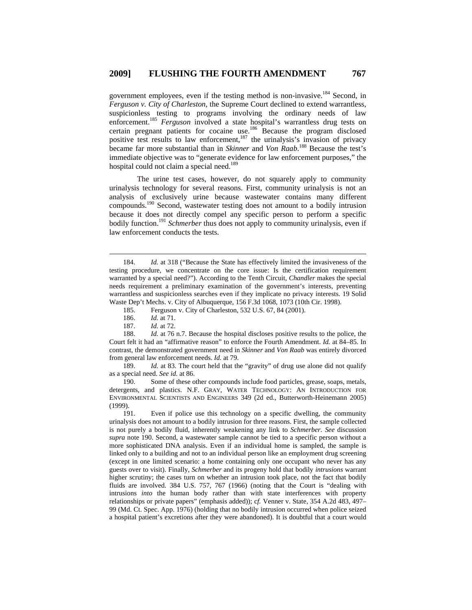government employees, even if the testing method is non-invasive.<sup>184</sup> Second, in *Ferguson v. City of Charleston*, the Supreme Court declined to extend warrantless, suspicionless testing to programs involving the ordinary needs of law enforcement.<sup>185</sup> *Ferguson* involved a state hospital's warrantless drug tests on certain pregnant patients for cocaine use.<sup>186</sup> Because the program disclosed positive test results to law enforcement,<sup>187</sup> the urinalysis's invasion of privacy became far more substantial than in *Skinner* and *Von Raab*. 188 Because the test's immediate objective was to "generate evidence for law enforcement purposes," the hospital could not claim a special need.<sup>189</sup>

The urine test cases, however, do not squarely apply to community urinalysis technology for several reasons. First, community urinalysis is not an analysis of exclusively urine because wastewater contains many different compounds.190 Second, wastewater testing does not amount to a bodily intrusion because it does not directly compel any specific person to perform a specific bodily function.<sup>191</sup> *Schmerber* thus does not apply to community urinalysis, even if law enforcement conducts the tests.

188. *Id.* at 76 n.7. Because the hospital discloses positive results to the police, the Court felt it had an "affirmative reason" to enforce the Fourth Amendment. *Id.* at 84–85. In contrast, the demonstrated government need in *Skinner* and *Von Raab* was entirely divorced from general law enforcement needs. *Id.* at 79.

189. *Id.* at 83. The court held that the "gravity" of drug use alone did not qualify as a special need. *See id.* at 86.

190. Some of these other compounds include food particles, grease, soaps, metals, detergents, and plastics. N.F. GRAY, WATER TECHNOLOGY: AN INTRODUCTION FOR ENVIRONMENTAL SCIENTISTS AND ENGINEERS 349 (2d ed., Butterworth-Heinemann 2005) (1999).

191. Even if police use this technology on a specific dwelling, the community urinalysis does not amount to a bodily intrusion for three reasons. First, the sample collected is not purely a bodily fluid, inherently weakening any link to *Schmerber*. *See* discussion *supra* note 190. Second, a wastewater sample cannot be tied to a specific person without a more sophisticated DNA analysis. Even if an individual home is sampled, the sample is linked only to a building and not to an individual person like an employment drug screening (except in one limited scenario: a home containing only one occupant who never has any guests over to visit). Finally, *Schmerber* and its progeny hold that bodily *intrusions* warrant higher scrutiny; the cases turn on whether an intrusion took place, not the fact that bodily fluids are involved. 384 U.S. 757, 767 (1966) (noting that the Court is "dealing with intrusions *into* the human body rather than with state interferences with property relationships or private papers" (emphasis added)); c*f.* Venner v. State, 354 A.2d 483, 497– 99 (Md. Ct. Spec. App. 1976) (holding that no bodily intrusion occurred when police seized a hospital patient's excretions after they were abandoned). It is doubtful that a court would

 <sup>184.</sup> *Id.* at 318 ("Because the State has effectively limited the invasiveness of the testing procedure, we concentrate on the core issue: Is the certification requirement warranted by a special need?"). According to the Tenth Circuit, *Chandler* makes the special needs requirement a preliminary examination of the government's interests, preventing warrantless and suspicionless searches even if they implicate no privacy interests. 19 Solid Waste Dep't Mechs. v. City of Albuquerque, 156 F.3d 1068, 1073 (10th Cir. 1998).

<sup>185.</sup> Ferguson v. City of Charleston, 532 U.S. 67, 84 (2001).<br>186. Id. at 71.

*Id.* at 71.

<sup>187.</sup> *Id.* at 72.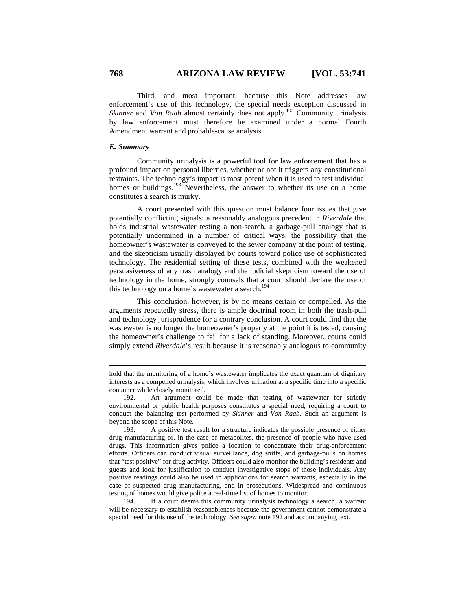Third, and most important, because this Note addresses law enforcement's use of this technology, the special needs exception discussed in *Skinner* and *Von Raab* almost certainly does not apply.<sup>192</sup> Community urinalysis by law enforcement must therefore be examined under a normal Fourth Amendment warrant and probable-cause analysis.

#### *E. Summary*

 $\overline{a}$ 

Community urinalysis is a powerful tool for law enforcement that has a profound impact on personal liberties, whether or not it triggers any constitutional restraints. The technology's impact is most potent when it is used to test individual homes or buildings.<sup>193</sup> Nevertheless, the answer to whether its use on a home constitutes a search is murky.

A court presented with this question must balance four issues that give potentially conflicting signals: a reasonably analogous precedent in *Riverdale* that holds industrial wastewater testing a non-search, a garbage-pull analogy that is potentially undermined in a number of critical ways, the possibility that the homeowner's wastewater is conveyed to the sewer company at the point of testing, and the skepticism usually displayed by courts toward police use of sophisticated technology. The residential setting of these tests, combined with the weakened persuasiveness of any trash analogy and the judicial skepticism toward the use of technology in the home, strongly counsels that a court should declare the use of this technology on a home's wastewater a search.<sup>194</sup>

This conclusion, however, is by no means certain or compelled. As the arguments repeatedly stress, there is ample doctrinal room in both the trash-pull and technology jurisprudence for a contrary conclusion. A court could find that the wastewater is no longer the homeowner's property at the point it is tested, causing the homeowner's challenge to fail for a lack of standing. Moreover, courts could simply extend *Riverdale*'s result because it is reasonably analogous to community

194. If a court deems this community urinalysis technology a search, a warrant will be necessary to establish reasonableness because the government cannot demonstrate a special need for this use of the technology. *See supra* note 192 and accompanying text.

hold that the monitoring of a home's wastewater implicates the exact quantum of dignitary interests as a compelled urinalysis, which involves urination at a specific time into a specific container while closely monitored.

<sup>192.</sup> An argument could be made that testing of wastewater for strictly environmental or public health purposes constitutes a special need, requiring a court to conduct the balancing test performed by *Skinner* and *Von Raab*. Such an argument is beyond the scope of this Note.

<sup>193.</sup> A positive test result for a structure indicates the possible presence of either drug manufacturing or, in the case of metabolites, the presence of people who have used drugs. This information gives police a location to concentrate their drug-enforcement efforts. Officers can conduct visual surveillance, dog sniffs, and garbage-pulls on homes that "test positive" for drug activity. Officers could also monitor the building's residents and guests and look for justification to conduct investigative stops of those individuals. Any positive readings could also be used in applications for search warrants, especially in the case of suspected drug manufacturing, and in prosecutions. Widespread and continuous testing of homes would give police a real-time list of homes to monitor.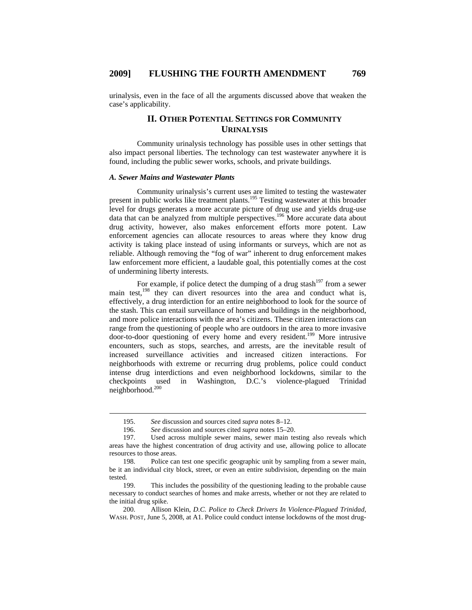urinalysis, even in the face of all the arguments discussed above that weaken the case's applicability.

# **II. OTHER POTENTIAL SETTINGS FOR COMMUNITY URINALYSIS**

Community urinalysis technology has possible uses in other settings that also impact personal liberties. The technology can test wastewater anywhere it is found, including the public sewer works, schools, and private buildings.

### *A. Sewer Mains and Wastewater Plants*

Community urinalysis's current uses are limited to testing the wastewater present in public works like treatment plants.<sup>195</sup> Testing wastewater at this broader level for drugs generates a more accurate picture of drug use and yields drug-use data that can be analyzed from multiple perspectives.<sup>196</sup> More accurate data about drug activity, however, also makes enforcement efforts more potent. Law enforcement agencies can allocate resources to areas where they know drug activity is taking place instead of using informants or surveys, which are not as reliable. Although removing the "fog of war" inherent to drug enforcement makes law enforcement more efficient, a laudable goal, this potentially comes at the cost of undermining liberty interests.

For example, if police detect the dumping of a drug stash<sup>197</sup> from a sewer main test,<sup>198</sup> they can divert resources into the area and conduct what is, effectively, a drug interdiction for an entire neighborhood to look for the source of the stash. This can entail surveillance of homes and buildings in the neighborhood, and more police interactions with the area's citizens. These citizen interactions can range from the questioning of people who are outdoors in the area to more invasive door-to-door questioning of every home and every resident.<sup>199</sup> More intrusive encounters, such as stops, searches, and arrests, are the inevitable result of increased surveillance activities and increased citizen interactions. For neighborhoods with extreme or recurring drug problems, police could conduct intense drug interdictions and even neighborhood lockdowns, similar to the checkpoints used in Washington, D.C.'s violence-plagued Trinidad neighborhood.200

 <sup>195.</sup> *See* discussion and sources cited *supra* notes 8–12.

<sup>196.</sup> *See* discussion and sources cited *supra* notes 15–20.

<sup>197.</sup> Used across multiple sewer mains, sewer main testing also reveals which areas have the highest concentration of drug activity and use, allowing police to allocate resources to those areas.

<sup>198.</sup> Police can test one specific geographic unit by sampling from a sewer main, be it an individual city block, street, or even an entire subdivision, depending on the main tested.

<sup>199.</sup> This includes the possibility of the questioning leading to the probable cause necessary to conduct searches of homes and make arrests, whether or not they are related to the initial drug spike.

<sup>200.</sup> Allison Klein, *D.C. Police to Check Drivers In Violence-Plagued Trinidad*, WASH. POST, June 5, 2008, at A1. Police could conduct intense lockdowns of the most drug-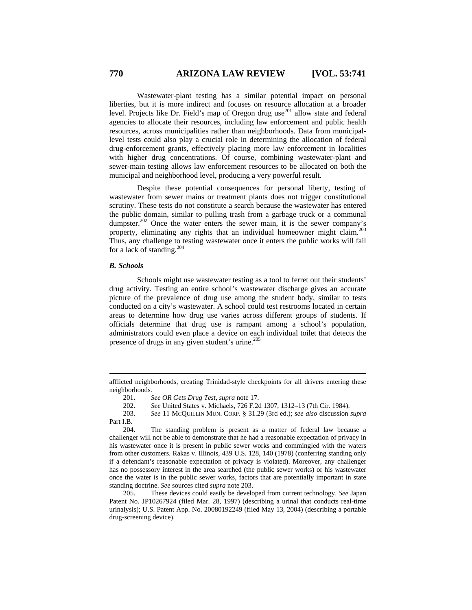Wastewater-plant testing has a similar potential impact on personal liberties, but it is more indirect and focuses on resource allocation at a broader level. Projects like Dr. Field's map of Oregon drug use<sup>201</sup> allow state and federal agencies to allocate their resources, including law enforcement and public health resources, across municipalities rather than neighborhoods. Data from municipallevel tests could also play a crucial role in determining the allocation of federal drug-enforcement grants, effectively placing more law enforcement in localities with higher drug concentrations. Of course, combining wastewater-plant and sewer-main testing allows law enforcement resources to be allocated on both the municipal and neighborhood level, producing a very powerful result.

Despite these potential consequences for personal liberty, testing of wastewater from sewer mains or treatment plants does not trigger constitutional scrutiny. These tests do not constitute a search because the wastewater has entered the public domain, similar to pulling trash from a garbage truck or a communal dumpster.<sup>202</sup> Once the water enters the sewer main, it is the sewer company's property, eliminating any rights that an individual homeowner might claim.<sup>203</sup> Thus, any challenge to testing wastewater once it enters the public works will fail for a lack of standing.<sup>204</sup>

#### *B. Schools*

 $\overline{a}$ 

Schools might use wastewater testing as a tool to ferret out their students' drug activity. Testing an entire school's wastewater discharge gives an accurate picture of the prevalence of drug use among the student body, similar to tests conducted on a city's wastewater. A school could test restrooms located in certain areas to determine how drug use varies across different groups of students. If officials determine that drug use is rampant among a school's population, administrators could even place a device on each individual toilet that detects the presence of drugs in any given student's urine.<sup>205</sup>

afflicted neighborhoods, creating Trinidad-style checkpoints for all drivers entering these neighborhoods.<br> $201.$ 

<sup>201.</sup> *See OR Gets Drug Test*, *supra* note 17.

<sup>202.</sup> *See* United States v. Michaels, 726 F.2d 1307, 1312–13 (7th Cir. 1984).

<sup>203.</sup> *See* 11 MCQUILLIN MUN. CORP. § 31.29 (3rd ed.); *see also* discussion *supra* Part I.B.<br>204.

The standing problem is present as a matter of federal law because a challenger will not be able to demonstrate that he had a reasonable expectation of privacy in his wastewater once it is present in public sewer works and commingled with the waters from other customers. Rakas v. Illinois, 439 U.S. 128, 140 (1978) (conferring standing only if a defendant's reasonable expectation of privacy is violated). Moreover, any challenger has no possessory interest in the area searched (the public sewer works) or his wastewater once the water is in the public sewer works, factors that are potentially important in state standing doctrine. *See* sources cited *supra* note 203.

<sup>205.</sup> These devices could easily be developed from current technology. *See* Japan Patent No. JP10267924 (filed Mar. 28, 1997) (describing a urinal that conducts real-time urinalysis); U.S. Patent App. No. 20080192249 (filed May 13, 2004) (describing a portable drug-screening device).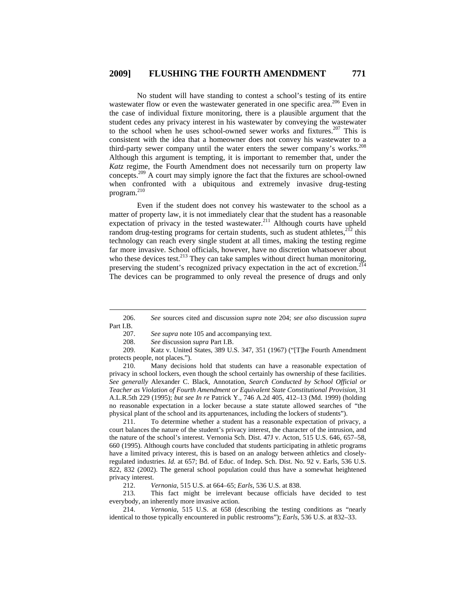No student will have standing to contest a school's testing of its entire wastewater flow or even the wastewater generated in one specific area.<sup>206</sup> Even in the case of individual fixture monitoring, there is a plausible argument that the student cedes any privacy interest in his wastewater by conveying the wastewater to the school when he uses school-owned sewer works and fixtures.<sup>207</sup> This is consistent with the idea that a homeowner does not convey his wastewater to a third-party sewer company until the water enters the sewer company's works.<sup>208</sup> Although this argument is tempting, it is important to remember that, under the *Katz* regime, the Fourth Amendment does not necessarily turn on property law concepts.209 A court may simply ignore the fact that the fixtures are school-owned when confronted with a ubiquitous and extremely invasive drug-testing program.<sup>210</sup>

Even if the student does not convey his wastewater to the school as a matter of property law, it is not immediately clear that the student has a reasonable expectation of privacy in the tested wastewater.<sup>211</sup> Although courts have upheld random drug-testing programs for certain students, such as student athletes,  $2^{12}$  this technology can reach every single student at all times, making the testing regime far more invasive. School officials, however, have no discretion whatsoever about who these devices test.<sup>213</sup> They can take samples without direct human monitoring, preserving the student's recognized privacy expectation in the act of excretion.<sup>214</sup> The devices can be programmed to only reveal the presence of drugs and only

209. Katz v. United States, 389 U.S. 347, 351 (1967) ("[T]he Fourth Amendment protects people, not places.").

210. Many decisions hold that students can have a reasonable expectation of privacy in school lockers, even though the school certainly has ownership of these facilities. *See generally* Alexander C. Black, Annotation, *Search Conducted by School Official or Teacher as Violation of Fourth Amendment or Equivalent State Constitutional Provision*, 31 A.L.R.5th 229 (1995); *but see In re* Patrick Y., 746 A.2d 405, 412–13 (Md. 1999) (holding no reasonable expectation in a locker because a state statute allowed searches of "the physical plant of the school and its appurtenances, including the lockers of students").

211. To determine whether a student has a reasonable expectation of privacy, a court balances the nature of the student's privacy interest, the character of the intrusion, and the nature of the school's interest. Vernonia Sch. Dist. 47J v. Acton, 515 U.S. 646, 657–58, 660 (1995). Although courts have concluded that students participating in athletic programs have a limited privacy interest, this is based on an analogy between athletics and closelyregulated industries. *Id.* at 657; Bd. of Educ. of Indep. Sch. Dist. No. 92 v. Earls, 536 U.S. 822, 832 (2002). The general school population could thus have a somewhat heightened privacy interest.

212. *Vernonia*, 515 U.S. at 664–65; *Earls*, 536 U.S. at 838.

213. This fact might be irrelevant because officials have decided to test everybody, an inherently more invasive action.

214. *Vernonia*, 515 U.S. at 658 (describing the testing conditions as "nearly identical to those typically encountered in public restrooms"); *Earls*, 536 U.S. at 832–33.

 <sup>206.</sup> *See* sources cited and discussion *supra* note 204; *see also* discussion *supra* Part I.B.

<sup>207.</sup> *See supra* note 105 and accompanying text.

<sup>208.</sup> *See* discussion *supra* Part I.B.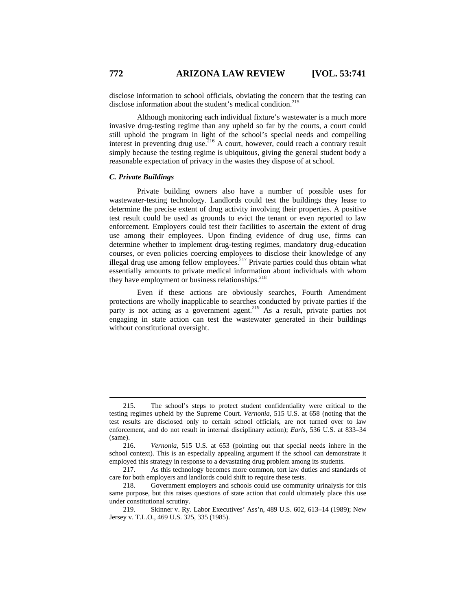disclose information to school officials, obviating the concern that the testing can disclose information about the student's medical condition.<sup>215</sup>

Although monitoring each individual fixture's wastewater is a much more invasive drug-testing regime than any upheld so far by the courts, a court could still uphold the program in light of the school's special needs and compelling interest in preventing drug use.<sup>216</sup> A court, however, could reach a contrary result simply because the testing regime is ubiquitous, giving the general student body a reasonable expectation of privacy in the wastes they dispose of at school.

## *C. Private Buildings*

Private building owners also have a number of possible uses for wastewater-testing technology. Landlords could test the buildings they lease to determine the precise extent of drug activity involving their properties. A positive test result could be used as grounds to evict the tenant or even reported to law enforcement. Employers could test their facilities to ascertain the extent of drug use among their employees. Upon finding evidence of drug use, firms can determine whether to implement drug-testing regimes, mandatory drug-education courses, or even policies coercing employees to disclose their knowledge of any illegal drug use among fellow employees.<sup> $217$ </sup> Private parties could thus obtain what essentially amounts to private medical information about individuals with whom they have employment or business relationships. $218$ 

Even if these actions are obviously searches, Fourth Amendment protections are wholly inapplicable to searches conducted by private parties if the party is not acting as a government agent.<sup>219</sup> As a result, private parties not engaging in state action can test the wastewater generated in their buildings without constitutional oversight.

 <sup>215.</sup> The school's steps to protect student confidentiality were critical to the testing regimes upheld by the Supreme Court. *Vernonia*, 515 U.S. at 658 (noting that the test results are disclosed only to certain school officials, are not turned over to law enforcement, and do not result in internal disciplinary action); *Earls*, 536 U.S. at 833–34  $\frac{\text{(same)}}{216}$ .

<sup>216.</sup> *Vernonia*, 515 U.S. at 653 (pointing out that special needs inhere in the school context). This is an especially appealing argument if the school can demonstrate it employed this strategy in response to a devastating drug problem among its students.

<sup>217.</sup> As this technology becomes more common, tort law duties and standards of care for both employers and landlords could shift to require these tests.

<sup>218.</sup> Government employers and schools could use community urinalysis for this same purpose, but this raises questions of state action that could ultimately place this use under constitutional scrutiny.

<sup>219.</sup> Skinner v. Ry. Labor Executives' Ass'n, 489 U.S. 602, 613–14 (1989); New Jersey v. T.L.O., 469 U.S. 325, 335 (1985).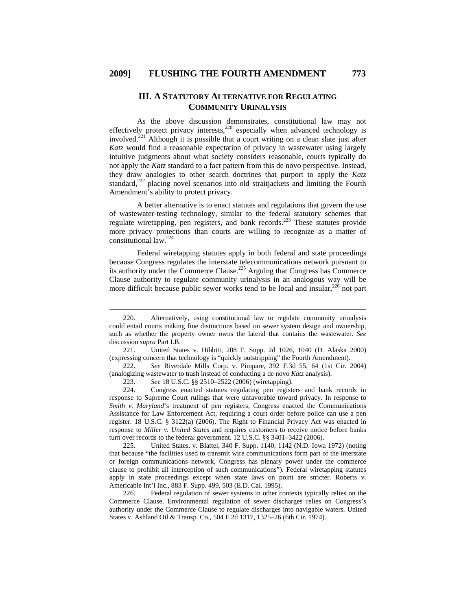# **III. A STATUTORY ALTERNATIVE FOR REGULATING COMMUNITY URINALYSIS**

As the above discussion demonstrates, constitutional law may not effectively protect privacy interests,  $220$  especially when advanced technology is involved. $221$  Although it is possible that a court writing on a clean slate just after *Katz* would find a reasonable expectation of privacy in wastewater using largely intuitive judgments about what society considers reasonable, courts typically do not apply the *Katz* standard to a fact pattern from this de novo perspective. Instead, they draw analogies to other search doctrines that purport to apply the *Katz* standard,<sup>222</sup> placing novel scenarios into old straitjackets and limiting the Fourth Amendment's ability to protect privacy.

A better alternative is to enact statutes and regulations that govern the use of wastewater-testing technology, similar to the federal statutory schemes that regulate wiretapping, pen registers, and bank records.<sup>223</sup> These statutes provide more privacy protections than courts are willing to recognize as a matter of constitutional law.224

Federal wiretapping statutes apply in both federal and state proceedings because Congress regulates the interstate telecommunications network pursuant to its authority under the Commerce Clause.<sup>225</sup> Arguing that Congress has Commerce Clause authority to regulate community urinalysis in an analogous way will be more difficult because public sewer works tend to be local and insular, $226$  not part

223. *See* 18 U.S.C. §§ 2510–2522 (2006) (wiretapping).

224. Congress enacted statutes regulating pen registers and bank records in response to Supreme Court rulings that were unfavorable toward privacy. In response to *Smith v. Maryland's* treatment of pen registers, Congress enacted the Communications Assistance for Law Enforcement Act, requiring a court order before police can use a pen register. 18 U.S.C. § 3122(a) (2006). The Right to Financial Privacy Act was enacted in response to *Miller v. United States* and requires customers to receive notice before banks turn over records to the federal government. 12 U.S.C. §§ 3401–3422 (2006).

225. United States. v. Blattel, 340 F. Supp. 1140, 1142 (N.D. Iowa 1972) (noting that because "the facilities used to transmit wire communications form part of the interstate or foreign communications network, Congress has plenary power under the commerce clause to prohibit all interception of such communications"). Federal wiretapping statutes apply in state proceedings except when state laws on point are stricter. Roberts v. Americable Int'l Inc., 883 F. Supp. 499, 503 (E.D. Cal. 1995).

226. Federal regulation of sewer systems in other contexts typically relies on the Commerce Clause. Environmental regulation of sewer discharges relies on Congress's authority under the Commerce Clause to regulate discharges into navigable waters. United States v. Ashland Oil & Transp. Co., 504 F.2d 1317, 1325–26 (6th Cir. 1974).

 <sup>220.</sup> Alternatively, using constitutional law to regulate community urinalysis could entail courts making fine distinctions based on sewer system design and ownership, such as whether the property owner owns the lateral that contains the wastewater. *See* discussion *supra* Part I.B.

<sup>221.</sup> United States v. Hibbitt, 208 F. Supp. 2d 1026, 1040 (D. Alaska 2000) (expressing concern that technology is "quickly outstripping" the Fourth Amendment).

<sup>222.</sup> *See* Riverdale Mills Corp. v. Pimpare, 392 F.3d 55, 64 (1st Cir. 2004) (analogizing wastewater to trash instead of conducting a de novo *Katz* analysis).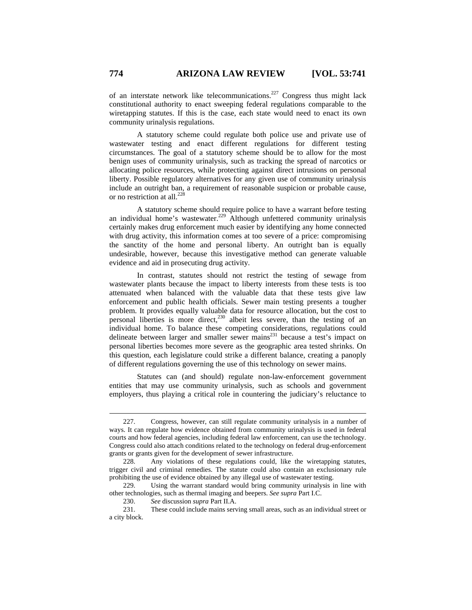of an interstate network like telecommunications.<sup>227</sup> Congress thus might lack constitutional authority to enact sweeping federal regulations comparable to the wiretapping statutes. If this is the case, each state would need to enact its own community urinalysis regulations.

A statutory scheme could regulate both police use and private use of wastewater testing and enact different regulations for different testing circumstances. The goal of a statutory scheme should be to allow for the most benign uses of community urinalysis, such as tracking the spread of narcotics or allocating police resources, while protecting against direct intrusions on personal liberty. Possible regulatory alternatives for any given use of community urinalysis include an outright ban, a requirement of reasonable suspicion or probable cause, or no restriction at all.<sup>228</sup>

A statutory scheme should require police to have a warrant before testing an individual home's wastewater.<sup>229</sup> Although unfettered community urinalysis certainly makes drug enforcement much easier by identifying any home connected with drug activity, this information comes at too severe of a price: compromising the sanctity of the home and personal liberty. An outright ban is equally undesirable, however, because this investigative method can generate valuable evidence and aid in prosecuting drug activity.

In contrast, statutes should not restrict the testing of sewage from wastewater plants because the impact to liberty interests from these tests is too attenuated when balanced with the valuable data that these tests give law enforcement and public health officials. Sewer main testing presents a tougher problem. It provides equally valuable data for resource allocation, but the cost to personal liberties is more direct,<sup>230</sup> albeit less severe, than the testing of an individual home. To balance these competing considerations, regulations could delineate between larger and smaller sewer mains $^{231}$  because a test's impact on personal liberties becomes more severe as the geographic area tested shrinks. On this question, each legislature could strike a different balance, creating a panoply of different regulations governing the use of this technology on sewer mains.

Statutes can (and should) regulate non-law-enforcement government entities that may use community urinalysis, such as schools and government employers, thus playing a critical role in countering the judiciary's reluctance to

 <sup>227.</sup> Congress, however, can still regulate community urinalysis in a number of ways. It can regulate how evidence obtained from community urinalysis is used in federal courts and how federal agencies, including federal law enforcement, can use the technology. Congress could also attach conditions related to the technology on federal drug-enforcement grants or grants given for the development of sewer infrastructure.

<sup>228.</sup> Any violations of these regulations could, like the wiretapping statutes, trigger civil and criminal remedies. The statute could also contain an exclusionary rule prohibiting the use of evidence obtained by any illegal use of wastewater testing.

<sup>229.</sup> Using the warrant standard would bring community urinalysis in line with other technologies, such as thermal imaging and beepers. *See supra* Part I.C.

<sup>230.</sup> *See* discussion *supra* Part II.A.

<sup>231.</sup> These could include mains serving small areas, such as an individual street or a city block.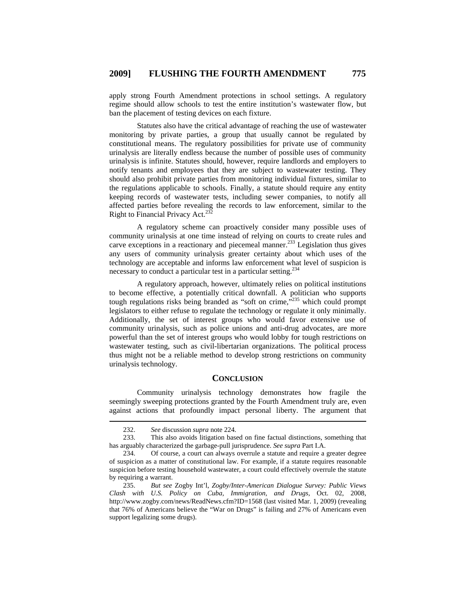apply strong Fourth Amendment protections in school settings. A regulatory regime should allow schools to test the entire institution's wastewater flow, but ban the placement of testing devices on each fixture.

Statutes also have the critical advantage of reaching the use of wastewater monitoring by private parties, a group that usually cannot be regulated by constitutional means. The regulatory possibilities for private use of community urinalysis are literally endless because the number of possible uses of community urinalysis is infinite. Statutes should, however, require landlords and employers to notify tenants and employees that they are subject to wastewater testing. They should also prohibit private parties from monitoring individual fixtures, similar to the regulations applicable to schools. Finally, a statute should require any entity keeping records of wastewater tests, including sewer companies, to notify all affected parties before revealing the records to law enforcement, similar to the Right to Financial Privacy Act.<sup>232</sup>

A regulatory scheme can proactively consider many possible uses of community urinalysis at one time instead of relying on courts to create rules and carve exceptions in a reactionary and piecemeal manner.<sup>233</sup> Legislation thus gives any users of community urinalysis greater certainty about which uses of the technology are acceptable and informs law enforcement what level of suspicion is necessary to conduct a particular test in a particular setting.<sup>234</sup>

A regulatory approach, however, ultimately relies on political institutions to become effective, a potentially critical downfall. A politician who supports tough regulations risks being branded as "soft on crime,"<sup>235</sup> which could prompt legislators to either refuse to regulate the technology or regulate it only minimally. Additionally, the set of interest groups who would favor extensive use of community urinalysis, such as police unions and anti-drug advocates, are more powerful than the set of interest groups who would lobby for tough restrictions on wastewater testing, such as civil-libertarian organizations. The political process thus might not be a reliable method to develop strong restrictions on community urinalysis technology.

## **CONCLUSION**

Community urinalysis technology demonstrates how fragile the seemingly sweeping protections granted by the Fourth Amendment truly are, even against actions that profoundly impact personal liberty. The argument that

 <sup>232.</sup> *See* discussion *supra* note 224.

<sup>233.</sup> This also avoids litigation based on fine factual distinctions, something that has arguably characterized the garbage-pull jurisprudence. *See supra* Part I.A.

<sup>234.</sup> Of course, a court can always overrule a statute and require a greater degree of suspicion as a matter of constitutional law. For example, if a statute requires reasonable suspicion before testing household wastewater, a court could effectively overrule the statute by requiring a warrant.

<sup>235.</sup> *But see* Zogby Int'l, *Zogby/Inter-American Dialogue Survey: Public Views Clash with U.S. Policy on Cuba, Immigration, and Drugs*, Oct. 02, 2008, http://www.zogby.com/news/ReadNews.cfm?ID=1568 (last visited Mar. 1, 2009) (revealing that 76% of Americans believe the "War on Drugs" is failing and 27% of Americans even support legalizing some drugs).